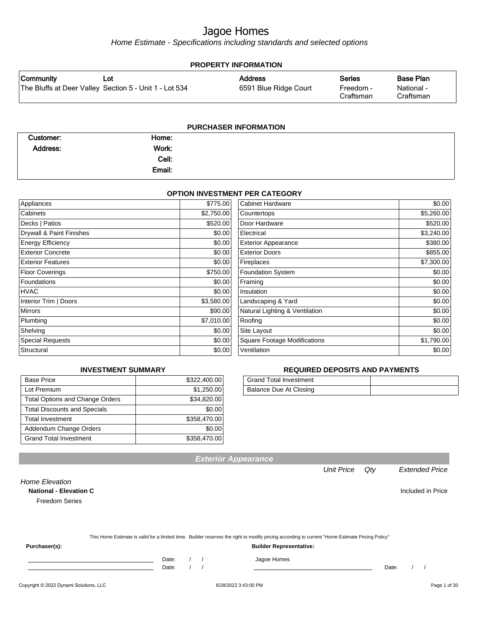Home Estimate - Specifications including standards and selected options

| <b>PROPERTY INFORMATION</b>                            |  |                       |                        |                         |
|--------------------------------------------------------|--|-----------------------|------------------------|-------------------------|
| Community<br>∟ot                                       |  | <b>Address</b>        | <b>Series</b>          | <b>Base Plan</b>        |
| The Bluffs at Deer Valley Section 5 - Unit 1 - Lot 534 |  | 6591 Blue Ridge Court | Freedom -<br>Craftsman | National -<br>Craftsman |

| <b>PURCHASER INFORMATION</b> |        |  |  |  |
|------------------------------|--------|--|--|--|
| Customer:                    | Home:  |  |  |  |
| Address:                     | Work:  |  |  |  |
|                              | Cell:  |  |  |  |
|                              | Email: |  |  |  |
|                              |        |  |  |  |

#### **OPTION INVESTMENT PER CATEGORY**

| Appliances               | \$775.00   | Cabinet Hardware                    | \$0.00     |
|--------------------------|------------|-------------------------------------|------------|
| Cabinets                 | \$2,750.00 | Countertops                         | \$5,260.00 |
| Decks   Patios           | \$520.00   | Door Hardware                       | \$520.00   |
| Drywall & Paint Finishes | \$0.00     | Electrical                          | \$3,240.00 |
| <b>Energy Efficiency</b> | \$0.00     | <b>Exterior Appearance</b>          | \$380.00   |
| <b>Exterior Concrete</b> | \$0.00     | <b>Exterior Doors</b>               | \$855.00   |
| <b>Exterior Features</b> | \$0.00     | Fireplaces                          | \$7,300.00 |
| Floor Coverings          | \$750.00   | Foundation System                   | \$0.00     |
| <b>Foundations</b>       | \$0.00     | Framing                             | \$0.00     |
| HVAC                     | \$0.00     | Insulation                          | \$0.00     |
| Interior Trim   Doors    | \$3,580.00 | Landscaping & Yard                  | \$0.00     |
| <b>Mirrors</b>           | \$90.00    | Natural Lighting & Ventilation      | \$0.00     |
| Plumbing                 | \$7,010.00 | Roofing                             | \$0.00     |
| Shelving                 | \$0.00     | Site Layout                         | \$0.00     |
| <b>Special Requests</b>  | \$0.00     | <b>Square Footage Modifications</b> | \$1,790.00 |
| Structural               | \$0.00     | Ventilation                         | \$0.00     |

#### **INVESTMENT SUMMARY**

| <b>Base Price</b>                      | \$322,400.00 |
|----------------------------------------|--------------|
| Lot Premium                            | \$1,250.00   |
| <b>Total Options and Change Orders</b> | \$34,820.00  |
| <b>Total Discounts and Specials</b>    | \$0.00       |
| <b>Total Investment</b>                | \$358,470.00 |
| Addendum Change Orders                 | \$0.00       |
| <b>Grand Total Investment</b>          | \$358,470.00 |

#### **REQUIRED DEPOSITS AND PAYMENTS**

| <b>Grand Total Investment</b> |  |
|-------------------------------|--|
| Balance Due At Closing        |  |

| <b>Freedom Series</b> |  |                                                                                                                                                  |
|-----------------------|--|--------------------------------------------------------------------------------------------------------------------------------------------------|
|                       |  |                                                                                                                                                  |
|                       |  | This Home Estimate is valid for a limited time. Builder reserves the right to modify pricing according to current "Home Estimate Pricing Policy" |
|                       |  |                                                                                                                                                  |

**Purchaser(s): Builder Representative:**

Date: / / Jagoe Homes<br>Date: / / Jagoe Homes

Date: / / Date: / /

Unit Price Qty Extended Price

Home Elevation

**Exterior Appearance**

**National - Elevation C Included in Price**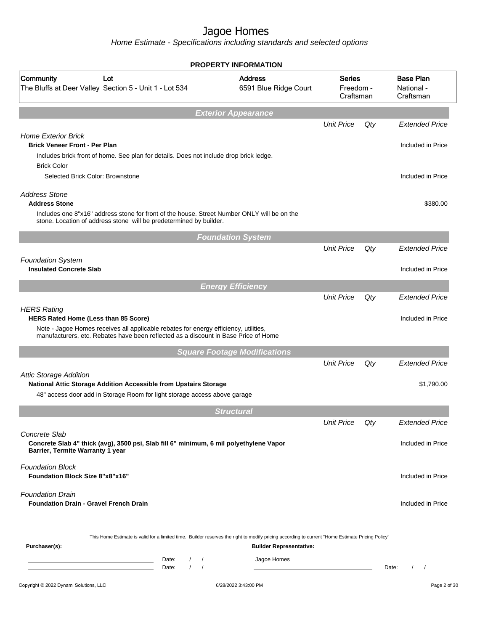|                                                                                                                                                                                                                                           | <b>PROPERTY INFORMATION</b>             |                                         |     |                                             |
|-------------------------------------------------------------------------------------------------------------------------------------------------------------------------------------------------------------------------------------------|-----------------------------------------|-----------------------------------------|-----|---------------------------------------------|
| Community<br>Lot<br>The Bluffs at Deer Valley Section 5 - Unit 1 - Lot 534                                                                                                                                                                | <b>Address</b><br>6591 Blue Ridge Court | <b>Series</b><br>Freedom -<br>Craftsman |     | <b>Base Plan</b><br>National -<br>Craftsman |
|                                                                                                                                                                                                                                           | <b>Exterior Appearance</b>              |                                         |     |                                             |
| <b>Home Exterior Brick</b><br><b>Brick Veneer Front - Per Plan</b>                                                                                                                                                                        |                                         | <b>Unit Price</b>                       | Qty | <b>Extended Price</b><br>Included in Price  |
| Includes brick front of home. See plan for details. Does not include drop brick ledge.<br><b>Brick Color</b>                                                                                                                              |                                         |                                         |     |                                             |
| Selected Brick Color: Brownstone                                                                                                                                                                                                          |                                         |                                         |     | Included in Price                           |
| <b>Address Stone</b><br><b>Address Stone</b><br>Includes one 8"x16" address stone for front of the house. Street Number ONLY will be on the<br>stone. Location of address stone will be predetermined by builder.                         |                                         |                                         |     | \$380.00                                    |
|                                                                                                                                                                                                                                           | <b>Foundation System</b>                |                                         |     |                                             |
|                                                                                                                                                                                                                                           |                                         | <b>Unit Price</b>                       | Qty | <b>Extended Price</b>                       |
| <b>Foundation System</b><br><b>Insulated Concrete Slab</b>                                                                                                                                                                                |                                         |                                         |     | Included in Price                           |
|                                                                                                                                                                                                                                           | <b>Energy Efficiency</b>                |                                         |     |                                             |
| <b>HERS Rating</b><br>HERS Rated Home (Less than 85 Score)<br>Note - Jagoe Homes receives all applicable rebates for energy efficiency, utilities,<br>manufacturers, etc. Rebates have been reflected as a discount in Base Price of Home |                                         | <b>Unit Price</b>                       | Qty | <b>Extended Price</b><br>Included in Price  |
|                                                                                                                                                                                                                                           | <b>Square Footage Modifications</b>     |                                         |     |                                             |
|                                                                                                                                                                                                                                           |                                         | <b>Unit Price</b>                       | Qty | <b>Extended Price</b>                       |
| <b>Attic Storage Addition</b><br>National Attic Storage Addition Accessible from Upstairs Storage<br>48" access door add in Storage Room for light storage access above garage                                                            |                                         |                                         |     | \$1,790.00                                  |
|                                                                                                                                                                                                                                           | <b>Structural</b>                       |                                         |     |                                             |
|                                                                                                                                                                                                                                           |                                         | <b>Unit Price</b>                       | Qty | <b>Extended Price</b>                       |
| Concrete Slab<br>Concrete Slab 4" thick (avg), 3500 psi, Slab fill 6" minimum, 6 mil polyethylene Vapor<br>Barrier, Termite Warranty 1 year                                                                                               |                                         |                                         |     | Included in Price                           |
| <b>Foundation Block</b><br><b>Foundation Block Size 8"x8"x16"</b>                                                                                                                                                                         |                                         |                                         |     | Included in Price                           |
| <b>Foundation Drain</b><br><b>Foundation Drain - Gravel French Drain</b>                                                                                                                                                                  |                                         |                                         |     | Included in Price                           |
| This Home Estimate is valid for a limited time. Builder reserves the right to modify pricing according to current "Home Estimate Pricing Policy"<br>Purchaser(s):                                                                         | <b>Builder Representative:</b>          |                                         |     |                                             |
| Date:<br>$\sqrt{2}$<br>$\prime$<br><u> 1989 - Johann Barn, amerikansk politiker (</u><br>$\prime$<br>Date:<br>$\prime$<br>the control of the control of the control of the control of                                                     | Jagoe Homes                             |                                         |     | Date:<br>$\prime$<br>$\prime$               |
| Copyright © 2022 Dynami Solutions, LLC                                                                                                                                                                                                    | 6/28/2022 3:43:00 PM                    |                                         |     | Page 2 of 30                                |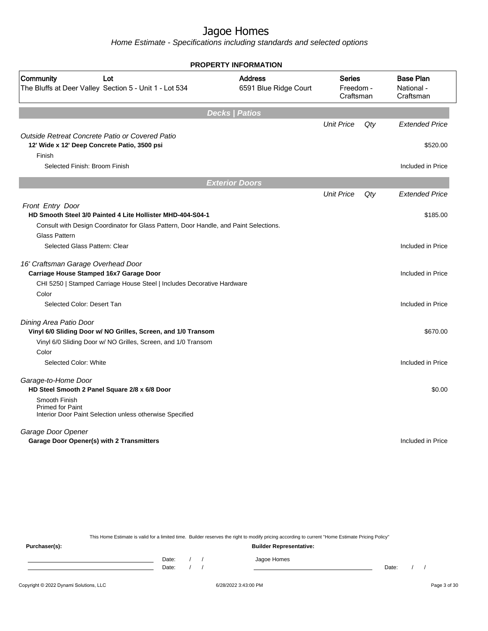Home Estimate - Specifications including standards and selected options

|                                                                                                      | <b>PROPERTY INFORMATION</b>             |                                         |        |                                             |
|------------------------------------------------------------------------------------------------------|-----------------------------------------|-----------------------------------------|--------|---------------------------------------------|
| Community<br>Lot<br>The Bluffs at Deer Valley Section 5 - Unit 1 - Lot 534                           | <b>Address</b><br>6591 Blue Ridge Court | <b>Series</b><br>Freedom -<br>Craftsman |        | <b>Base Plan</b><br>National -<br>Craftsman |
|                                                                                                      | <b>Decks   Patios</b>                   |                                         |        |                                             |
|                                                                                                      |                                         | <b>Unit Price</b>                       | $Q$ ty | <b>Extended Price</b>                       |
| Outside Retreat Concrete Patio or Covered Patio                                                      |                                         |                                         |        |                                             |
| 12' Wide x 12' Deep Concrete Patio, 3500 psi                                                         |                                         |                                         |        | \$520.00                                    |
| Finish                                                                                               |                                         |                                         |        |                                             |
| Selected Finish: Broom Finish                                                                        |                                         |                                         |        | Included in Price                           |
|                                                                                                      | <b>Exterior Doors</b>                   |                                         |        |                                             |
|                                                                                                      |                                         | <b>Unit Price</b>                       | Qty    | <b>Extended Price</b>                       |
| Front Entry Door                                                                                     |                                         |                                         |        |                                             |
| HD Smooth Steel 3/0 Painted 4 Lite Hollister MHD-404-S04-1                                           |                                         |                                         |        | \$185.00                                    |
| Consult with Design Coordinator for Glass Pattern, Door Handle, and Paint Selections.                |                                         |                                         |        |                                             |
| <b>Glass Pattern</b>                                                                                 |                                         |                                         |        |                                             |
| Selected Glass Pattern: Clear                                                                        |                                         |                                         |        | Included in Price                           |
| 16' Craftsman Garage Overhead Door                                                                   |                                         |                                         |        |                                             |
| Carriage House Stamped 16x7 Garage Door                                                              |                                         |                                         |        | Included in Price                           |
| CHI 5250   Stamped Carriage House Steel   Includes Decorative Hardware                               |                                         |                                         |        |                                             |
| Color                                                                                                |                                         |                                         |        |                                             |
| Selected Color: Desert Tan                                                                           |                                         |                                         |        | Included in Price                           |
| Dining Area Patio Door                                                                               |                                         |                                         |        |                                             |
| Vinyl 6/0 Sliding Door w/ NO Grilles, Screen, and 1/0 Transom                                        |                                         |                                         |        | \$670.00                                    |
| Vinyl 6/0 Sliding Door w/ NO Grilles, Screen, and 1/0 Transom                                        |                                         |                                         |        |                                             |
| Color                                                                                                |                                         |                                         |        |                                             |
| Selected Color: White                                                                                |                                         |                                         |        | Included in Price                           |
| Garage-to-Home Door                                                                                  |                                         |                                         |        |                                             |
| HD Steel Smooth 2 Panel Square 2/8 x 6/8 Door                                                        |                                         |                                         |        | \$0.00                                      |
| Smooth Finish<br><b>Primed for Paint</b><br>Interior Door Paint Selection unless otherwise Specified |                                         |                                         |        |                                             |
| Garage Door Opener                                                                                   |                                         |                                         |        |                                             |
| Garage Door Opener(s) with 2 Transmitters                                                            |                                         |                                         |        | Included in Price                           |
|                                                                                                      |                                         |                                         |        |                                             |
|                                                                                                      |                                         |                                         |        |                                             |

This Home Estimate is valid for a limited time. Builder reserves the right to modify pricing according to current "Home Estimate Pricing Policy"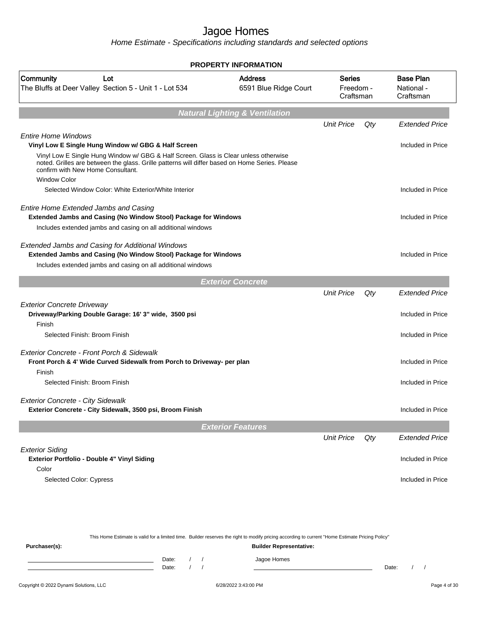Home Estimate - Specifications including standards and selected options

|                                                                                                                                                                                     | <b>PROPERTY INFORMATION</b>               |                                         |     |                                             |
|-------------------------------------------------------------------------------------------------------------------------------------------------------------------------------------|-------------------------------------------|-----------------------------------------|-----|---------------------------------------------|
| Community<br>Lot<br>The Bluffs at Deer Valley Section 5 - Unit 1 - Lot 534                                                                                                          | <b>Address</b><br>6591 Blue Ridge Court   | <b>Series</b><br>Freedom -<br>Craftsman |     | <b>Base Plan</b><br>National -<br>Craftsman |
|                                                                                                                                                                                     | <b>Natural Lighting &amp; Ventilation</b> |                                         |     |                                             |
|                                                                                                                                                                                     |                                           | <b>Unit Price</b>                       | Qty | <b>Extended Price</b>                       |
| <b>Entire Home Windows</b><br>Vinyl Low E Single Hung Window w/ GBG & Half Screen<br>Vinyl Low E Single Hung Window w/ GBG & Half Screen. Glass is Clear unless otherwise           |                                           |                                         |     | Included in Price                           |
| noted. Grilles are between the glass. Grille patterns will differ based on Home Series. Please<br>confirm with New Home Consultant.<br><b>Window Color</b>                          |                                           |                                         |     |                                             |
| Selected Window Color: White Exterior/White Interior                                                                                                                                |                                           |                                         |     | Included in Price                           |
| Entire Home Extended Jambs and Casing<br>Extended Jambs and Casing (No Window Stool) Package for Windows<br>Includes extended jambs and casing on all additional windows            |                                           |                                         |     | Included in Price                           |
| Extended Jambs and Casing for Additional Windows<br>Extended Jambs and Casing (No Window Stool) Package for Windows<br>Includes extended jambs and casing on all additional windows |                                           |                                         |     | Included in Price                           |
|                                                                                                                                                                                     | <b>Exterior Concrete</b>                  |                                         |     |                                             |
|                                                                                                                                                                                     |                                           | <b>Unit Price</b>                       | Qty | <b>Extended Price</b>                       |
| <b>Exterior Concrete Driveway</b><br>Driveway/Parking Double Garage: 16' 3" wide, 3500 psi<br>Finish                                                                                |                                           |                                         |     | Included in Price                           |
| Selected Finish: Broom Finish                                                                                                                                                       |                                           |                                         |     | Included in Price                           |
| Exterior Concrete - Front Porch & Sidewalk<br>Front Porch & 4' Wide Curved Sidewalk from Porch to Driveway- per plan<br>Finish                                                      |                                           |                                         |     | Included in Price                           |
| Selected Finish: Broom Finish                                                                                                                                                       |                                           |                                         |     | Included in Price                           |
| <b>Exterior Concrete - City Sidewalk</b><br>Exterior Concrete - City Sidewalk, 3500 psi, Broom Finish                                                                               |                                           |                                         |     | Included in Price                           |
|                                                                                                                                                                                     | <b>Exterior Features</b>                  |                                         |     |                                             |
|                                                                                                                                                                                     |                                           | <b>Unit Price</b>                       | Qty | <b>Extended Price</b>                       |
| <b>Exterior Siding</b><br>Exterior Portfolio - Double 4" Vinyl Siding<br>Color                                                                                                      |                                           |                                         |     | Included in Price                           |
| Selected Color: Cypress                                                                                                                                                             |                                           |                                         |     | Included in Price                           |
|                                                                                                                                                                                     |                                           |                                         |     |                                             |

This Home Estimate is valid for a limited time. Builder reserves the right to modify pricing according to current "Home Estimate Pricing Policy" **Purchaser(s): Builder Representative:** Date: / / Jagoe Homes<br>Date: / / Jagoe Homes Date: / / **Date: / / 2006** Date: / / / Date: / / /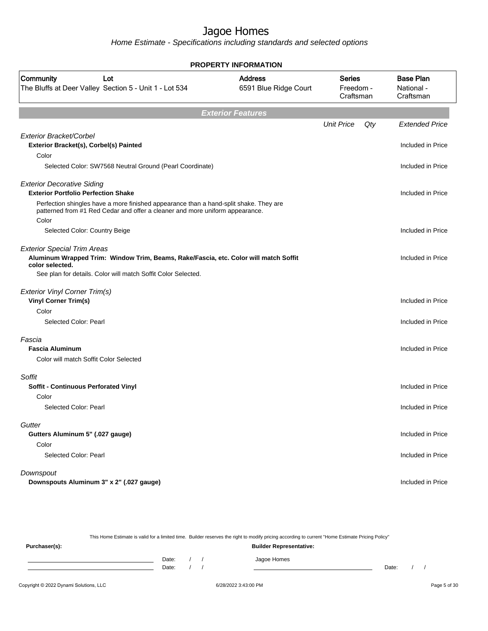Home Estimate - Specifications including standards and selected options

|                                                                                                                                                                       | <b>PROPERTY INFORMATION</b>             |                                         |     |                                             |
|-----------------------------------------------------------------------------------------------------------------------------------------------------------------------|-----------------------------------------|-----------------------------------------|-----|---------------------------------------------|
| Community<br>Lot<br>The Bluffs at Deer Valley Section 5 - Unit 1 - Lot 534                                                                                            | <b>Address</b><br>6591 Blue Ridge Court | <b>Series</b><br>Freedom -<br>Craftsman |     | <b>Base Plan</b><br>National -<br>Craftsman |
|                                                                                                                                                                       | <b>Exterior Features</b>                |                                         |     |                                             |
|                                                                                                                                                                       |                                         | <b>Unit Price</b>                       | Qty | <b>Extended Price</b>                       |
| Exterior Bracket/Corbel<br>Exterior Bracket(s), Corbel(s) Painted                                                                                                     |                                         |                                         |     | Included in Price                           |
| Color                                                                                                                                                                 |                                         |                                         |     |                                             |
| Selected Color: SW7568 Neutral Ground (Pearl Coordinate)                                                                                                              |                                         |                                         |     | Included in Price                           |
| <b>Exterior Decorative Siding</b><br><b>Exterior Portfolio Perfection Shake</b>                                                                                       |                                         |                                         |     | Included in Price                           |
| Perfection shingles have a more finished appearance than a hand-split shake. They are<br>patterned from #1 Red Cedar and offer a cleaner and more uniform appearance. |                                         |                                         |     |                                             |
| Color<br>Selected Color: Country Beige                                                                                                                                |                                         |                                         |     | Included in Price                           |
| <b>Exterior Special Trim Areas</b><br>Aluminum Wrapped Trim: Window Trim, Beams, Rake/Fascia, etc. Color will match Soffit<br>color selected.                         |                                         |                                         |     | Included in Price                           |
| See plan for details. Color will match Soffit Color Selected.                                                                                                         |                                         |                                         |     |                                             |
| Exterior Vinyl Corner Trim(s)<br><b>Vinyl Corner Trim(s)</b>                                                                                                          |                                         |                                         |     | Included in Price                           |
| Color                                                                                                                                                                 |                                         |                                         |     |                                             |
| Selected Color: Pearl                                                                                                                                                 |                                         |                                         |     | Included in Price                           |
| Fascia                                                                                                                                                                |                                         |                                         |     |                                             |
| <b>Fascia Aluminum</b>                                                                                                                                                |                                         |                                         |     | Included in Price                           |
| Color will match Soffit Color Selected                                                                                                                                |                                         |                                         |     |                                             |
| Soffit                                                                                                                                                                |                                         |                                         |     |                                             |
| Soffit - Continuous Perforated Vinyl                                                                                                                                  |                                         |                                         |     | Included in Price                           |
| Color                                                                                                                                                                 |                                         |                                         |     |                                             |
| Selected Color: Pearl                                                                                                                                                 |                                         |                                         |     | Included in Price                           |
| Gutter                                                                                                                                                                |                                         |                                         |     |                                             |
| Gutters Aluminum 5" (.027 gauge)                                                                                                                                      |                                         |                                         |     | Included in Price                           |
| Color                                                                                                                                                                 |                                         |                                         |     |                                             |
| Selected Color: Pearl                                                                                                                                                 |                                         |                                         |     | Included in Price                           |
| Downspout                                                                                                                                                             |                                         |                                         |     |                                             |
| Downspouts Aluminum 3" x 2" (.027 gauge)                                                                                                                              |                                         |                                         |     | Included in Price                           |
|                                                                                                                                                                       |                                         |                                         |     |                                             |

This Home Estimate is valid for a limited time. Builder reserves the right to modify pricing according to current "Home Estimate Pricing Policy" **Purchaser(s): Builder Representative:** Date: / / Jagoe Homes<br>Date: / / Jagoe Homes Date: / / **Date: / / 2006** Date: / / / Date: / / /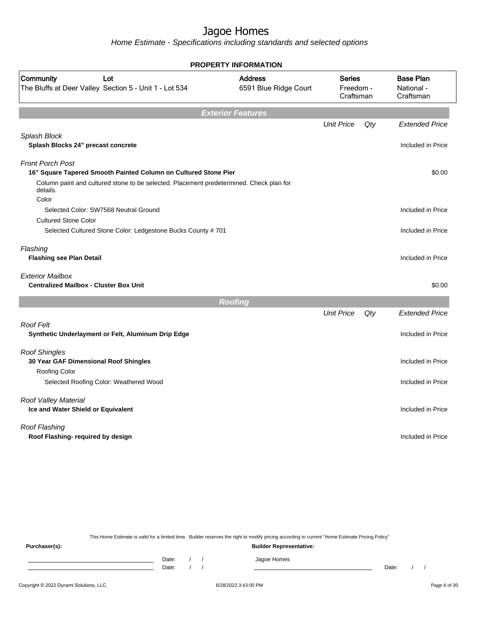Home Estimate - Specifications including standards and selected options

|                                                                                                              | <b>PROPERTY INFORMATION</b>             |                                         |     |                                             |
|--------------------------------------------------------------------------------------------------------------|-----------------------------------------|-----------------------------------------|-----|---------------------------------------------|
| Community<br>Lot<br>The Bluffs at Deer Valley Section 5 - Unit 1 - Lot 534                                   | <b>Address</b><br>6591 Blue Ridge Court | <b>Series</b><br>Freedom -<br>Craftsman |     | <b>Base Plan</b><br>National -<br>Craftsman |
|                                                                                                              | <b>Exterior Features</b>                |                                         |     |                                             |
|                                                                                                              |                                         | <b>Unit Price</b>                       | Qty | <b>Extended Price</b>                       |
| Splash Block<br>Splash Blocks 24" precast concrete                                                           |                                         |                                         |     | Included in Price                           |
| <b>Front Porch Post</b><br>16" Square Tapered Smooth Painted Column on Cultured Stone Pier                   |                                         |                                         |     | \$0.00                                      |
| Column paint and cultured stone to be selected. Placement predetermined. Check plan for<br>details.<br>Color |                                         |                                         |     |                                             |
| Selected Color: SW7568 Neutral Ground<br><b>Cultured Stone Color</b>                                         |                                         |                                         |     | Included in Price                           |
| Selected Cultured Stone Color: Ledgestone Bucks County # 701                                                 |                                         |                                         |     | Included in Price                           |
| Flashing<br><b>Flashing see Plan Detail</b>                                                                  |                                         |                                         |     | Included in Price                           |
| <b>Exterior Mailbox</b><br><b>Centralized Mailbox - Cluster Box Unit</b>                                     |                                         |                                         |     | \$0.00                                      |
|                                                                                                              | <b>Roofing</b>                          |                                         |     |                                             |
|                                                                                                              |                                         | <b>Unit Price</b>                       | Qty | <b>Extended Price</b>                       |
| <b>Roof Felt</b><br>Synthetic Underlayment or Felt, Aluminum Drip Edge                                       |                                         |                                         |     | Included in Price                           |
| <b>Roof Shingles</b><br>30 Year GAF Dimensional Roof Shingles<br>Roofing Color                               |                                         |                                         |     | Included in Price                           |
| Selected Roofing Color: Weathered Wood                                                                       |                                         |                                         |     | Included in Price                           |
| Roof Valley Material<br>Ice and Water Shield or Equivalent                                                   |                                         |                                         |     | Included in Price                           |
| Roof Flashing<br>Roof Flashing- required by design                                                           |                                         |                                         |     | Included in Price                           |
|                                                                                                              |                                         |                                         |     |                                             |

This Home Estimate is valid for a limited time. Builder reserves the right to modify pricing according to current "Home Estimate Pricing Policy"

**Purchaser(s): Builder Representative:** Date: / / Jagoe Homes<br>Date: / / Jagoe Homes Date: / / **Date: / / 2006** Date: / / / Date: / / /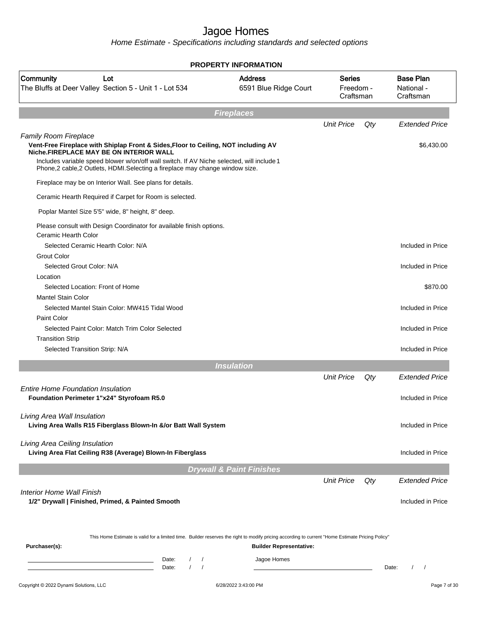|                                                                                                                                                                                                                                                                                                                                    | <b>PROPERTY INFORMATION</b>             |                                         |       |                                             |
|------------------------------------------------------------------------------------------------------------------------------------------------------------------------------------------------------------------------------------------------------------------------------------------------------------------------------------|-----------------------------------------|-----------------------------------------|-------|---------------------------------------------|
| Community<br>Lot<br>The Bluffs at Deer Valley Section 5 - Unit 1 - Lot 534                                                                                                                                                                                                                                                         | <b>Address</b><br>6591 Blue Ridge Court | <b>Series</b><br>Freedom -<br>Craftsman |       | <b>Base Plan</b><br>National -<br>Craftsman |
|                                                                                                                                                                                                                                                                                                                                    | <b>Fireplaces</b>                       |                                         |       |                                             |
|                                                                                                                                                                                                                                                                                                                                    |                                         | <b>Unit Price</b>                       | Qty   | <b>Extended Price</b>                       |
| Family Room Fireplace<br>Vent-Free Fireplace with Shiplap Front & Sides, Floor to Ceiling, NOT including AV<br>Niche FIREPLACE MAY BE ON INTERIOR WALL<br>Includes variable speed blower w/on/off wall switch. If AV Niche selected, will include 1<br>Phone,2 cable,2 Outlets, HDMI.Selecting a fireplace may change window size. |                                         |                                         |       | \$6,430.00                                  |
| Fireplace may be on Interior Wall. See plans for details.                                                                                                                                                                                                                                                                          |                                         |                                         |       |                                             |
| Ceramic Hearth Required if Carpet for Room is selected.                                                                                                                                                                                                                                                                            |                                         |                                         |       |                                             |
| Poplar Mantel Size 5'5" wide, 8" height, 8" deep.                                                                                                                                                                                                                                                                                  |                                         |                                         |       |                                             |
| Please consult with Design Coordinator for available finish options.<br>Ceramic Hearth Color                                                                                                                                                                                                                                       |                                         |                                         |       |                                             |
| Selected Ceramic Hearth Color: N/A                                                                                                                                                                                                                                                                                                 |                                         |                                         |       | Included in Price                           |
| <b>Grout Color</b><br>Selected Grout Color: N/A                                                                                                                                                                                                                                                                                    |                                         |                                         |       | Included in Price                           |
| Location                                                                                                                                                                                                                                                                                                                           |                                         |                                         |       |                                             |
| Selected Location: Front of Home<br><b>Mantel Stain Color</b>                                                                                                                                                                                                                                                                      |                                         |                                         |       | \$870.00                                    |
| Selected Mantel Stain Color: MW415 Tidal Wood                                                                                                                                                                                                                                                                                      |                                         |                                         |       | Included in Price                           |
| Paint Color                                                                                                                                                                                                                                                                                                                        |                                         |                                         |       |                                             |
| Selected Paint Color: Match Trim Color Selected                                                                                                                                                                                                                                                                                    |                                         |                                         |       | Included in Price                           |
| <b>Transition Strip</b>                                                                                                                                                                                                                                                                                                            |                                         |                                         |       |                                             |
| Selected Transition Strip: N/A                                                                                                                                                                                                                                                                                                     |                                         |                                         |       | Included in Price                           |
|                                                                                                                                                                                                                                                                                                                                    | <b>Insulation</b>                       |                                         |       |                                             |
|                                                                                                                                                                                                                                                                                                                                    |                                         | <b>Unit Price</b>                       | Qty   | <b>Extended Price</b>                       |
| <b>Entire Home Foundation Insulation</b><br>Foundation Perimeter 1"x24" Styrofoam R5.0                                                                                                                                                                                                                                             |                                         |                                         |       | Included in Price                           |
| Living Area Wall Insulation<br>Living Area Walls R15 Fiberglass Blown-In &/or Batt Wall System                                                                                                                                                                                                                                     |                                         |                                         |       | Included in Price                           |
| Living Area Ceiling Insulation<br>Living Area Flat Ceiling R38 (Average) Blown-In Fiberglass                                                                                                                                                                                                                                       |                                         |                                         |       | Included in Price                           |
|                                                                                                                                                                                                                                                                                                                                    | <b>Drywall &amp; Paint Finishes</b>     |                                         |       |                                             |
|                                                                                                                                                                                                                                                                                                                                    |                                         | <b>Unit Price</b>                       | Qty   | <b>Extended Price</b>                       |
| Interior Home Wall Finish<br>1/2" Drywall   Finished, Primed, & Painted Smooth                                                                                                                                                                                                                                                     |                                         |                                         |       | Included in Price                           |
| This Home Estimate is valid for a limited time. Builder reserves the right to modify pricing according to current "Home Estimate Pricing Policy"<br>Purchaser(s):                                                                                                                                                                  | <b>Builder Representative:</b>          |                                         |       |                                             |
| $\prime$<br>Date:<br>$\prime$<br>$\prime$<br>$\sqrt{2}$<br>Date:                                                                                                                                                                                                                                                                   | Jagoe Homes                             |                                         | Date: | $\overline{1}$<br>$\prime$                  |
| Copyright © 2022 Dynami Solutions, LLC                                                                                                                                                                                                                                                                                             | 6/28/2022 3:43:00 PM                    |                                         |       | Page 7 of 30                                |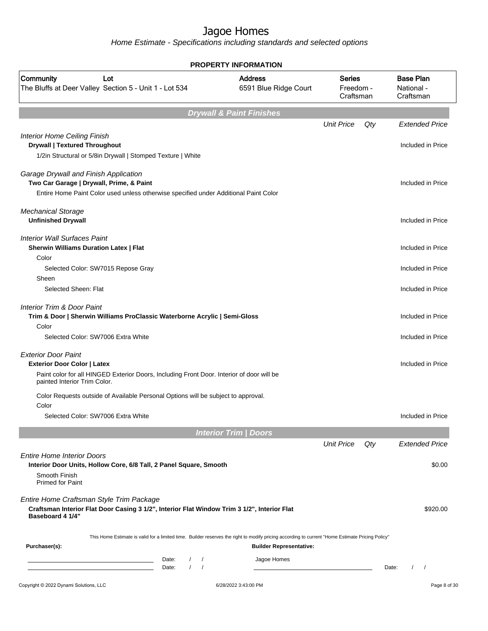| <b>PROPERTY INFORMATION</b>                                                                                                                                 |                                         |                                         |     |                                             |  |  |  |
|-------------------------------------------------------------------------------------------------------------------------------------------------------------|-----------------------------------------|-----------------------------------------|-----|---------------------------------------------|--|--|--|
| Community<br>Lot<br>The Bluffs at Deer Valley Section 5 - Unit 1 - Lot 534                                                                                  | <b>Address</b><br>6591 Blue Ridge Court | <b>Series</b><br>Freedom -<br>Craftsman |     | <b>Base Plan</b><br>National -<br>Craftsman |  |  |  |
|                                                                                                                                                             | <b>Drywall &amp; Paint Finishes</b>     |                                         |     |                                             |  |  |  |
|                                                                                                                                                             |                                         | <b>Unit Price</b>                       | Qty | <b>Extended Price</b>                       |  |  |  |
| <b>Interior Home Ceiling Finish</b><br><b>Drywall   Textured Throughout</b>                                                                                 |                                         |                                         |     | Included in Price                           |  |  |  |
| 1/2in Structural or 5/8in Drywall   Stomped Texture   White                                                                                                 |                                         |                                         |     |                                             |  |  |  |
| Garage Drywall and Finish Application<br>Two Car Garage   Drywall, Prime, & Paint                                                                           |                                         |                                         |     | Included in Price                           |  |  |  |
| Entire Home Paint Color used unless otherwise specified under Additional Paint Color                                                                        |                                         |                                         |     |                                             |  |  |  |
| <b>Mechanical Storage</b><br><b>Unfinished Drywall</b>                                                                                                      |                                         |                                         |     | Included in Price                           |  |  |  |
| <b>Interior Wall Surfaces Paint</b><br><b>Sherwin Williams Duration Latex   Flat</b>                                                                        |                                         |                                         |     | Included in Price                           |  |  |  |
| Color                                                                                                                                                       |                                         |                                         |     |                                             |  |  |  |
| Selected Color: SW7015 Repose Gray<br>Sheen                                                                                                                 |                                         |                                         |     | Included in Price                           |  |  |  |
| Selected Sheen: Flat                                                                                                                                        |                                         |                                         |     | Included in Price                           |  |  |  |
| <b>Interior Trim &amp; Door Paint</b><br>Trim & Door   Sherwin Williams ProClassic Waterborne Acrylic   Semi-Gloss                                          |                                         |                                         |     | Included in Price                           |  |  |  |
| Color<br>Selected Color: SW7006 Extra White                                                                                                                 |                                         |                                         |     | Included in Price                           |  |  |  |
| <b>Exterior Door Paint</b>                                                                                                                                  |                                         |                                         |     |                                             |  |  |  |
| <b>Exterior Door Color   Latex</b>                                                                                                                          |                                         |                                         |     | Included in Price                           |  |  |  |
| Paint color for all HINGED Exterior Doors, Including Front Door. Interior of door will be<br>painted Interior Trim Color.                                   |                                         |                                         |     |                                             |  |  |  |
| Color Requests outside of Available Personal Options will be subject to approval.                                                                           |                                         |                                         |     |                                             |  |  |  |
| Color<br>Selected Color: SW7006 Extra White                                                                                                                 |                                         |                                         |     | Included in Price                           |  |  |  |
|                                                                                                                                                             |                                         |                                         |     |                                             |  |  |  |
|                                                                                                                                                             | <b>Interior Trim / Doors</b>            |                                         |     |                                             |  |  |  |
| <b>Entire Home Interior Doors</b>                                                                                                                           |                                         | <b>Unit Price</b>                       | Qty | <b>Extended Price</b>                       |  |  |  |
| Interior Door Units, Hollow Core, 6/8 Tall, 2 Panel Square, Smooth                                                                                          |                                         |                                         |     | \$0.00                                      |  |  |  |
| Smooth Finish                                                                                                                                               |                                         |                                         |     |                                             |  |  |  |
| <b>Primed for Paint</b>                                                                                                                                     |                                         |                                         |     |                                             |  |  |  |
| Entire Home Craftsman Style Trim Package<br>Craftsman Interior Flat Door Casing 3 1/2", Interior Flat Window Trim 3 1/2", Interior Flat<br>Baseboard 4 1/4" |                                         |                                         |     | \$920.00                                    |  |  |  |
| This Home Estimate is valid for a limited time. Builder reserves the right to modify pricing according to current "Home Estimate Pricing Policy"            |                                         |                                         |     |                                             |  |  |  |
| Purchaser(s):                                                                                                                                               | <b>Builder Representative:</b>          |                                         |     |                                             |  |  |  |
| Date:<br>$\sqrt{ }$<br>$\prime$<br>Date:                                                                                                                    | Jagoe Homes                             |                                         |     | Date:<br>$\prime$<br>$\sqrt{2}$             |  |  |  |
|                                                                                                                                                             |                                         |                                         |     |                                             |  |  |  |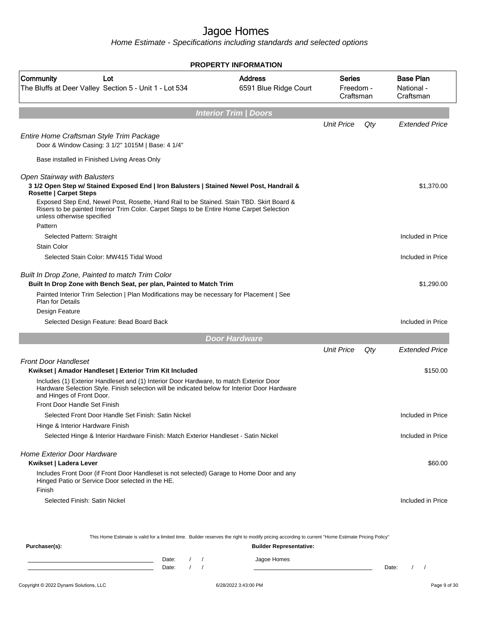Home Estimate - Specifications including standards and selected options

|                                                                                                                                                                                                                      | <b>PROPERTY INFORMATION</b>             |                                  |     |                                             |
|----------------------------------------------------------------------------------------------------------------------------------------------------------------------------------------------------------------------|-----------------------------------------|----------------------------------|-----|---------------------------------------------|
| Community<br>Lot<br>The Bluffs at Deer Valley Section 5 - Unit 1 - Lot 534                                                                                                                                           | <b>Address</b><br>6591 Blue Ridge Court | Series<br>Freedom -<br>Craftsman |     | <b>Base Plan</b><br>National -<br>Craftsman |
|                                                                                                                                                                                                                      | <b>Interior Trim / Doors</b>            |                                  |     |                                             |
|                                                                                                                                                                                                                      |                                         | <b>Unit Price</b>                | Qty | <b>Extended Price</b>                       |
| Entire Home Craftsman Style Trim Package<br>Door & Window Casing: 3 1/2" 1015M   Base: 4 1/4"                                                                                                                        |                                         |                                  |     |                                             |
| Base installed in Finished Living Areas Only                                                                                                                                                                         |                                         |                                  |     |                                             |
| Open Stairway with Balusters                                                                                                                                                                                         |                                         |                                  |     |                                             |
| 3 1/2 Open Step w/ Stained Exposed End   Iron Balusters   Stained Newel Post, Handrail &<br><b>Rosette   Carpet Steps</b>                                                                                            |                                         |                                  |     | \$1,370.00                                  |
| Exposed Step End, Newel Post, Rosette, Hand Rail to be Stained. Stain TBD. Skirt Board &<br>Risers to be painted Interior Trim Color. Carpet Steps to be Entire Home Carpet Selection<br>unless otherwise specified  |                                         |                                  |     |                                             |
| Pattern<br>Selected Pattern: Straight                                                                                                                                                                                |                                         |                                  |     | Included in Price                           |
| <b>Stain Color</b>                                                                                                                                                                                                   |                                         |                                  |     |                                             |
| Selected Stain Color: MW415 Tidal Wood                                                                                                                                                                               |                                         |                                  |     | Included in Price                           |
| Built In Drop Zone, Painted to match Trim Color<br>Built In Drop Zone with Bench Seat, per plan, Painted to Match Trim                                                                                               |                                         |                                  |     | \$1,290.00                                  |
| Painted Interior Trim Selection   Plan Modifications may be necessary for Placement   See<br><b>Plan for Details</b>                                                                                                 |                                         |                                  |     |                                             |
| Design Feature                                                                                                                                                                                                       |                                         |                                  |     |                                             |
| Selected Design Feature: Bead Board Back                                                                                                                                                                             |                                         |                                  |     | Included in Price                           |
|                                                                                                                                                                                                                      | <b>Door Hardware</b>                    |                                  |     |                                             |
|                                                                                                                                                                                                                      |                                         | <b>Unit Price</b>                | Qty | <b>Extended Price</b>                       |
| <b>Front Door Handleset</b>                                                                                                                                                                                          |                                         |                                  |     |                                             |
| Kwikset   Amador Handleset   Exterior Trim Kit Included                                                                                                                                                              |                                         |                                  |     | \$150.00                                    |
| Includes (1) Exterior Handleset and (1) Interior Door Hardware, to match Exterior Door<br>Hardware Selection Style. Finish selection will be indicated below for Interior Door Hardware<br>and Hinges of Front Door. |                                         |                                  |     |                                             |
| Front Door Handle Set Finish                                                                                                                                                                                         |                                         |                                  |     |                                             |
| Selected Front Door Handle Set Finish: Satin Nickel                                                                                                                                                                  |                                         |                                  |     | Included in Price                           |
| Hinge & Interior Hardware Finish                                                                                                                                                                                     |                                         |                                  |     |                                             |
| Selected Hinge & Interior Hardware Finish: Match Exterior Handleset - Satin Nickel                                                                                                                                   |                                         |                                  |     | Included in Price                           |
| <b>Home Exterior Door Hardware</b><br>Kwikset   Ladera Lever<br>Includes Front Door (if Front Door Handleset is not selected) Garage to Home Door and any<br>Hinged Patio or Service Door selected in the HE.        |                                         |                                  |     | \$60.00                                     |
| Finish<br>Selected Finish: Satin Nickel                                                                                                                                                                              |                                         |                                  |     | Included in Price                           |

This Home Estimate is valid for a limited time. Builder reserves the right to modify pricing according to current "Home Estimate Pricing Policy"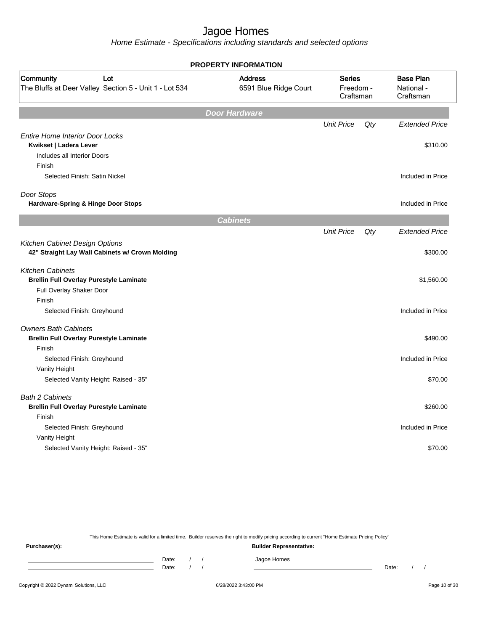Home Estimate - Specifications including standards and selected options

|                                                                                   | <b>PROPERTY INFORMATION</b>             |                                         |     |                                             |
|-----------------------------------------------------------------------------------|-----------------------------------------|-----------------------------------------|-----|---------------------------------------------|
| Community<br>Lot<br>The Bluffs at Deer Valley Section 5 - Unit 1 - Lot 534        | <b>Address</b><br>6591 Blue Ridge Court | <b>Series</b><br>Freedom -<br>Craftsman |     | <b>Base Plan</b><br>National -<br>Craftsman |
|                                                                                   | <b>Door Hardware</b>                    |                                         |     |                                             |
|                                                                                   |                                         | <b>Unit Price</b>                       | Qty | <b>Extended Price</b>                       |
| <b>Entire Home Interior Door Locks</b>                                            |                                         |                                         |     |                                             |
| Kwikset   Ladera Lever<br>Includes all Interior Doors                             |                                         |                                         |     | \$310.00                                    |
| Finish                                                                            |                                         |                                         |     |                                             |
| Selected Finish: Satin Nickel                                                     |                                         |                                         |     | Included in Price                           |
|                                                                                   |                                         |                                         |     |                                             |
| Door Stops                                                                        |                                         |                                         |     |                                             |
| Hardware-Spring & Hinge Door Stops                                                |                                         |                                         |     | Included in Price                           |
|                                                                                   | <b>Cabinets</b>                         |                                         |     |                                             |
|                                                                                   |                                         | <b>Unit Price</b>                       | Qty | <b>Extended Price</b>                       |
| Kitchen Cabinet Design Options<br>42" Straight Lay Wall Cabinets w/ Crown Molding |                                         |                                         |     | \$300.00                                    |
| <b>Kitchen Cabinets</b>                                                           |                                         |                                         |     |                                             |
| <b>Brellin Full Overlay Purestyle Laminate</b>                                    |                                         |                                         |     | \$1,560.00                                  |
| Full Overlay Shaker Door                                                          |                                         |                                         |     |                                             |
| Finish                                                                            |                                         |                                         |     |                                             |
| Selected Finish: Greyhound                                                        |                                         |                                         |     | Included in Price                           |
| <b>Owners Bath Cabinets</b>                                                       |                                         |                                         |     |                                             |
| <b>Brellin Full Overlay Purestyle Laminate</b>                                    |                                         |                                         |     | \$490.00                                    |
| Finish                                                                            |                                         |                                         |     |                                             |
| Selected Finish: Greyhound                                                        |                                         |                                         |     | Included in Price                           |
| Vanity Height                                                                     |                                         |                                         |     |                                             |
| Selected Vanity Height: Raised - 35"                                              |                                         |                                         |     | \$70.00                                     |
| <b>Bath 2 Cabinets</b>                                                            |                                         |                                         |     |                                             |
| <b>Brellin Full Overlay Purestyle Laminate</b>                                    |                                         |                                         |     | \$260.00                                    |
| Finish                                                                            |                                         |                                         |     |                                             |
| Selected Finish: Greyhound                                                        |                                         |                                         |     | Included in Price                           |
| Vanity Height                                                                     |                                         |                                         |     |                                             |
| Selected Vanity Height: Raised - 35"                                              |                                         |                                         |     | \$70.00                                     |
|                                                                                   |                                         |                                         |     |                                             |

This Home Estimate is valid for a limited time. Builder reserves the right to modify pricing according to current "Home Estimate Pricing Policy"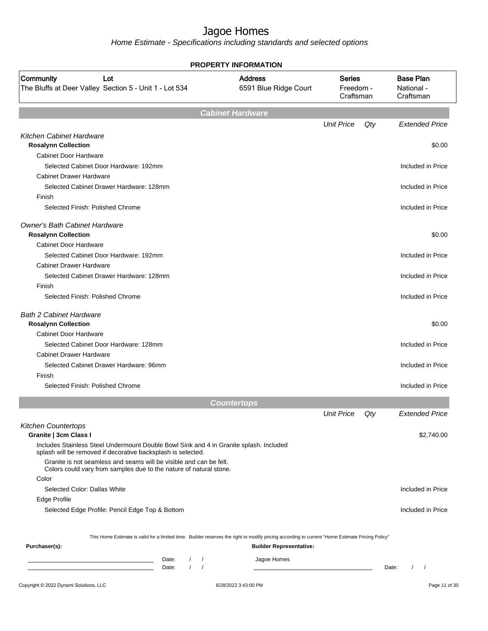|                                                                                                                                                        | <b>PROPERTY INFORMATION</b>             |                                         |     |                                             |
|--------------------------------------------------------------------------------------------------------------------------------------------------------|-----------------------------------------|-----------------------------------------|-----|---------------------------------------------|
| Community<br>Lot<br>The Bluffs at Deer Valley Section 5 - Unit 1 - Lot 534                                                                             | <b>Address</b><br>6591 Blue Ridge Court | <b>Series</b><br>Freedom -<br>Craftsman |     | <b>Base Plan</b><br>National -<br>Craftsman |
|                                                                                                                                                        | <b>Cabinet Hardware</b>                 |                                         |     |                                             |
|                                                                                                                                                        |                                         | <b>Unit Price</b>                       | Qty | <b>Extended Price</b>                       |
| Kitchen Cabinet Hardware                                                                                                                               |                                         |                                         |     |                                             |
| <b>Rosalynn Collection</b>                                                                                                                             |                                         |                                         |     | \$0.00                                      |
| <b>Cabinet Door Hardware</b>                                                                                                                           |                                         |                                         |     |                                             |
| Selected Cabinet Door Hardware: 192mm                                                                                                                  |                                         |                                         |     | Included in Price                           |
| <b>Cabinet Drawer Hardware</b>                                                                                                                         |                                         |                                         |     |                                             |
| Selected Cabinet Drawer Hardware: 128mm                                                                                                                |                                         |                                         |     | Included in Price                           |
| Finish                                                                                                                                                 |                                         |                                         |     |                                             |
| Selected Finish: Polished Chrome                                                                                                                       |                                         |                                         |     | Included in Price                           |
| <b>Owner's Bath Cabinet Hardware</b>                                                                                                                   |                                         |                                         |     |                                             |
| <b>Rosalynn Collection</b>                                                                                                                             |                                         |                                         |     | \$0.00                                      |
| Cabinet Door Hardware                                                                                                                                  |                                         |                                         |     |                                             |
| Selected Cabinet Door Hardware: 192mm                                                                                                                  |                                         |                                         |     | Included in Price                           |
| <b>Cabinet Drawer Hardware</b>                                                                                                                         |                                         |                                         |     |                                             |
| Selected Cabinet Drawer Hardware: 128mm                                                                                                                |                                         |                                         |     | Included in Price                           |
| Finish                                                                                                                                                 |                                         |                                         |     |                                             |
| Selected Finish: Polished Chrome                                                                                                                       |                                         |                                         |     | Included in Price                           |
| <b>Bath 2 Cabinet Hardware</b>                                                                                                                         |                                         |                                         |     |                                             |
| <b>Rosalynn Collection</b>                                                                                                                             |                                         |                                         |     | \$0.00                                      |
| <b>Cabinet Door Hardware</b>                                                                                                                           |                                         |                                         |     |                                             |
| Selected Cabinet Door Hardware: 128mm                                                                                                                  |                                         |                                         |     | Included in Price                           |
| <b>Cabinet Drawer Hardware</b>                                                                                                                         |                                         |                                         |     |                                             |
| Selected Cabinet Drawer Hardware: 96mm                                                                                                                 |                                         |                                         |     | Included in Price                           |
| Finish                                                                                                                                                 |                                         |                                         |     |                                             |
| Selected Finish: Polished Chrome                                                                                                                       |                                         |                                         |     | Included in Price                           |
|                                                                                                                                                        | <b>Countertops</b>                      |                                         |     |                                             |
|                                                                                                                                                        |                                         | <b>Unit Price</b>                       | Qty | <b>Extended Price</b>                       |
| <b>Kitchen Countertops</b>                                                                                                                             |                                         |                                         |     |                                             |
| Granite   3cm Class I                                                                                                                                  |                                         |                                         |     | \$2,740.00                                  |
| Includes Stainless Steel Undermount Double Bowl Sink and 4 in Granite splash. Included<br>splash will be removed if decorative backsplash is selected. |                                         |                                         |     |                                             |
| Granite is not seamless and seams will be visible and can be felt.<br>Colors could vary from samples due to the nature of natural stone.               |                                         |                                         |     |                                             |
| Color                                                                                                                                                  |                                         |                                         |     |                                             |
| Selected Color: Dallas White                                                                                                                           |                                         |                                         |     | Included in Price                           |
| Edge Profile                                                                                                                                           |                                         |                                         |     |                                             |
| Selected Edge Profile: Pencil Edge Top & Bottom                                                                                                        |                                         |                                         |     | Included in Price                           |
|                                                                                                                                                        |                                         |                                         |     |                                             |
| This Home Estimate is valid for a limited time. Builder reserves the right to modify pricing according to current "Home Estimate Pricing Policy"       |                                         |                                         |     |                                             |
| Purchaser(s):                                                                                                                                          | <b>Builder Representative:</b>          |                                         |     |                                             |
| Date:<br>$\sqrt{2}$<br>$\overline{\phantom{a}}$                                                                                                        | Jagoe Homes                             |                                         |     |                                             |
| $\prime$<br>$\sqrt{ }$<br>Date:                                                                                                                        |                                         |                                         |     | $\left  \right $<br>Date:                   |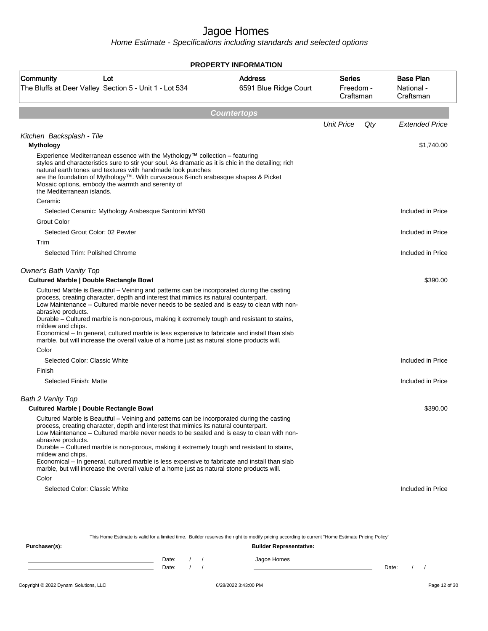Home Estimate - Specifications including standards and selected options

|                                                                                                                                                                                                                                                                                                                                                                                                                                                                                                                                                                                                                                   | <b>PROPERTY INFORMATION</b>                                                                                                                      |                                         |                                             |
|-----------------------------------------------------------------------------------------------------------------------------------------------------------------------------------------------------------------------------------------------------------------------------------------------------------------------------------------------------------------------------------------------------------------------------------------------------------------------------------------------------------------------------------------------------------------------------------------------------------------------------------|--------------------------------------------------------------------------------------------------------------------------------------------------|-----------------------------------------|---------------------------------------------|
| Community<br>Lot<br>The Bluffs at Deer Valley Section 5 - Unit 1 - Lot 534                                                                                                                                                                                                                                                                                                                                                                                                                                                                                                                                                        | <b>Address</b><br>6591 Blue Ridge Court                                                                                                          | <b>Series</b><br>Freedom -<br>Craftsman | <b>Base Plan</b><br>National -<br>Craftsman |
|                                                                                                                                                                                                                                                                                                                                                                                                                                                                                                                                                                                                                                   | <b>Countertops</b>                                                                                                                               |                                         |                                             |
|                                                                                                                                                                                                                                                                                                                                                                                                                                                                                                                                                                                                                                   |                                                                                                                                                  | <b>Unit Price</b><br>Qty                | <b>Extended Price</b>                       |
| Kitchen Backsplash - Tile                                                                                                                                                                                                                                                                                                                                                                                                                                                                                                                                                                                                         |                                                                                                                                                  |                                         |                                             |
| <b>Mythology</b><br>Experience Mediterranean essence with the Mythology™ collection – featuring<br>styles and characteristics sure to stir your soul. As dramatic as it is chic in the detailing; rich<br>natural earth tones and textures with handmade look punches<br>are the foundation of Mythology™. With curvaceous 6-inch arabesque shapes & Picket<br>Mosaic options, embody the warmth and serenity of<br>the Mediterranean islands.                                                                                                                                                                                    |                                                                                                                                                  |                                         | \$1,740.00                                  |
| Ceramic                                                                                                                                                                                                                                                                                                                                                                                                                                                                                                                                                                                                                           |                                                                                                                                                  |                                         |                                             |
| Selected Ceramic: Mythology Arabesque Santorini MY90<br><b>Grout Color</b>                                                                                                                                                                                                                                                                                                                                                                                                                                                                                                                                                        |                                                                                                                                                  |                                         | Included in Price                           |
| Selected Grout Color: 02 Pewter                                                                                                                                                                                                                                                                                                                                                                                                                                                                                                                                                                                                   |                                                                                                                                                  |                                         | Included in Price                           |
| Trim                                                                                                                                                                                                                                                                                                                                                                                                                                                                                                                                                                                                                              |                                                                                                                                                  |                                         |                                             |
| Selected Trim: Polished Chrome                                                                                                                                                                                                                                                                                                                                                                                                                                                                                                                                                                                                    |                                                                                                                                                  |                                         | Included in Price                           |
| <b>Owner's Bath Vanity Top</b><br><b>Cultured Marble   Double Rectangle Bowl</b>                                                                                                                                                                                                                                                                                                                                                                                                                                                                                                                                                  |                                                                                                                                                  |                                         | \$390.00                                    |
| process, creating character, depth and interest that mimics its natural counterpart.<br>Low Maintenance - Cultured marble never needs to be sealed and is easy to clean with non-<br>abrasive products.<br>Durable - Cultured marble is non-porous, making it extremely tough and resistant to stains,<br>mildew and chips.<br>Economical – In general, cultured marble is less expensive to fabricate and install than slab<br>marble, but will increase the overall value of a home just as natural stone products will.<br>Color                                                                                               |                                                                                                                                                  |                                         |                                             |
| Selected Color: Classic White                                                                                                                                                                                                                                                                                                                                                                                                                                                                                                                                                                                                     |                                                                                                                                                  |                                         | Included in Price                           |
| Finish                                                                                                                                                                                                                                                                                                                                                                                                                                                                                                                                                                                                                            |                                                                                                                                                  |                                         |                                             |
| Selected Finish: Matte                                                                                                                                                                                                                                                                                                                                                                                                                                                                                                                                                                                                            |                                                                                                                                                  |                                         | Included in Price                           |
| Bath 2 Vanity Top<br><b>Cultured Marble   Double Rectangle Bowl</b>                                                                                                                                                                                                                                                                                                                                                                                                                                                                                                                                                               |                                                                                                                                                  |                                         | \$390.00                                    |
| Cultured Marble is Beautiful - Veining and patterns can be incorporated during the casting<br>process, creating character, depth and interest that mimics its natural counterpart.<br>Low Maintenance - Cultured marble never needs to be sealed and is easy to clean with non-<br>abrasive products.<br>Durable - Cultured marble is non-porous, making it extremely tough and resistant to stains,<br>mildew and chips.<br>Economical – In general, cultured marble is less expensive to fabricate and install than slab<br>marble, but will increase the overall value of a home just as natural stone products will.<br>Color |                                                                                                                                                  |                                         |                                             |
| Selected Color: Classic White                                                                                                                                                                                                                                                                                                                                                                                                                                                                                                                                                                                                     |                                                                                                                                                  |                                         | Included in Price                           |
|                                                                                                                                                                                                                                                                                                                                                                                                                                                                                                                                                                                                                                   | This Home Estimate is valid for a limited time. Builder reserves the right to modify pricing according to current "Home Estimate Pricing Policy" |                                         |                                             |
| Purchaser(s):                                                                                                                                                                                                                                                                                                                                                                                                                                                                                                                                                                                                                     | <b>Builder Representative:</b>                                                                                                                   |                                         |                                             |

Date: / / Jagoe Homes<br>Date: / / Jagoe Homes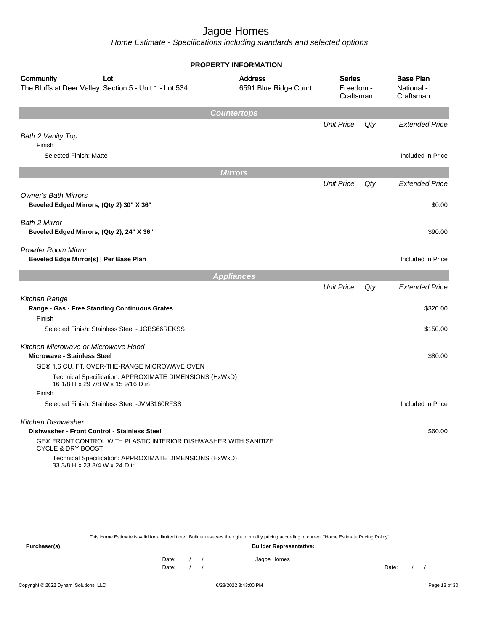Home Estimate - Specifications including standards and selected options

| <b>Base Plan</b><br>National -<br>Craftsman<br><b>Extended Price</b> |
|----------------------------------------------------------------------|
|                                                                      |
|                                                                      |
|                                                                      |
|                                                                      |
| Included in Price                                                    |
|                                                                      |
| <b>Extended Price</b>                                                |
| \$0.00                                                               |
| \$90.00                                                              |
| Included in Price                                                    |
|                                                                      |
| <b>Extended Price</b>                                                |
| \$320.00                                                             |
| \$150.00                                                             |
| \$80.00                                                              |
|                                                                      |
|                                                                      |
|                                                                      |
| Included in Price                                                    |
|                                                                      |
| \$60.00                                                              |
|                                                                      |
|                                                                      |
|                                                                      |

This Home Estimate is valid for a limited time. Builder reserves the right to modify pricing according to current "Home Estimate Pricing Policy" **Purchaser(s): Builder Representative:** Date: / / Jagoe Homes<br>Date: / / Jagoe Homes Date: / / Date: / /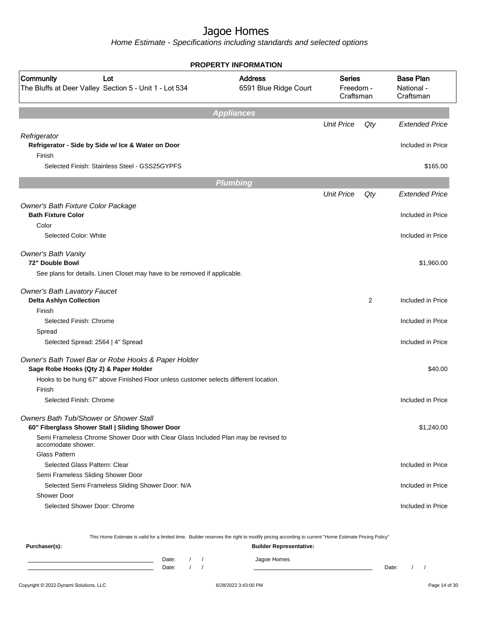Home Estimate - Specifications including standards and selected options

|                                                                                                                     | <b>PROPERTY INFORMATION</b>             |                                         |                |                                             |
|---------------------------------------------------------------------------------------------------------------------|-----------------------------------------|-----------------------------------------|----------------|---------------------------------------------|
| Community<br>Lot<br>The Bluffs at Deer Valley Section 5 - Unit 1 - Lot 534                                          | <b>Address</b><br>6591 Blue Ridge Court | <b>Series</b><br>Freedom -<br>Craftsman |                | <b>Base Plan</b><br>National -<br>Craftsman |
|                                                                                                                     | <b>Appliances</b>                       |                                         |                |                                             |
|                                                                                                                     |                                         | <b>Unit Price</b>                       | Qty            | <b>Extended Price</b>                       |
| Refrigerator                                                                                                        |                                         |                                         |                |                                             |
| Refrigerator - Side by Side w/ Ice & Water on Door<br>Finish                                                        |                                         |                                         |                | Included in Price                           |
| Selected Finish: Stainless Steel - GSS25GYPFS                                                                       |                                         |                                         |                | \$165.00                                    |
|                                                                                                                     | <b>Plumbing</b>                         |                                         |                |                                             |
|                                                                                                                     |                                         | <b>Unit Price</b>                       | Qty            | <b>Extended Price</b>                       |
| Owner's Bath Fixture Color Package<br><b>Bath Fixture Color</b>                                                     |                                         |                                         |                | Included in Price                           |
| Color<br>Selected Color: White                                                                                      |                                         |                                         |                | Included in Price                           |
|                                                                                                                     |                                         |                                         |                |                                             |
| Owner's Bath Vanity<br>72" Double Bowl<br>See plans for details. Linen Closet may have to be removed if applicable. |                                         |                                         |                | \$1,960.00                                  |
|                                                                                                                     |                                         |                                         |                |                                             |
| <b>Owner's Bath Lavatory Faucet</b><br><b>Delta Ashlyn Collection</b>                                               |                                         |                                         | $\overline{2}$ | Included in Price                           |
| Finish                                                                                                              |                                         |                                         |                |                                             |
| Selected Finish: Chrome                                                                                             |                                         |                                         |                | Included in Price                           |
| Spread                                                                                                              |                                         |                                         |                |                                             |
| Selected Spread: 2564   4" Spread                                                                                   |                                         |                                         |                | Included in Price                           |
| Owner's Bath Towel Bar or Robe Hooks & Paper Holder<br>Sage Robe Hooks (Qty 2) & Paper Holder                       |                                         |                                         |                | \$40.00                                     |
| Hooks to be hung 67" above Finished Floor unless customer selects different location.                               |                                         |                                         |                |                                             |
| Finish                                                                                                              |                                         |                                         |                |                                             |
| Selected Finish: Chrome                                                                                             |                                         |                                         |                | Included in Price                           |
| Owners Bath Tub/Shower or Shower Stall<br>60" Fiberglass Shower Stall   Sliding Shower Door                         |                                         |                                         |                | \$1,240.00                                  |
| Semi Frameless Chrome Shower Door with Clear Glass Included Plan may be revised to<br>accomodate shower.            |                                         |                                         |                |                                             |
| Glass Pattern                                                                                                       |                                         |                                         |                |                                             |
| Selected Glass Pattern: Clear                                                                                       |                                         |                                         |                | Included in Price                           |
| Semi Frameless Sliding Shower Door                                                                                  |                                         |                                         |                |                                             |
| Selected Semi Frameless Sliding Shower Door: N/A                                                                    |                                         |                                         |                | Included in Price                           |
| Shower Door                                                                                                         |                                         |                                         |                |                                             |
| Selected Shower Door: Chrome                                                                                        |                                         |                                         |                | Included in Price                           |
|                                                                                                                     |                                         |                                         |                |                                             |
|                                                                                                                     |                                         |                                         |                |                                             |

This Home Estimate is valid for a limited time. Builder reserves the right to modify pricing according to current "Home Estimate Pricing Policy"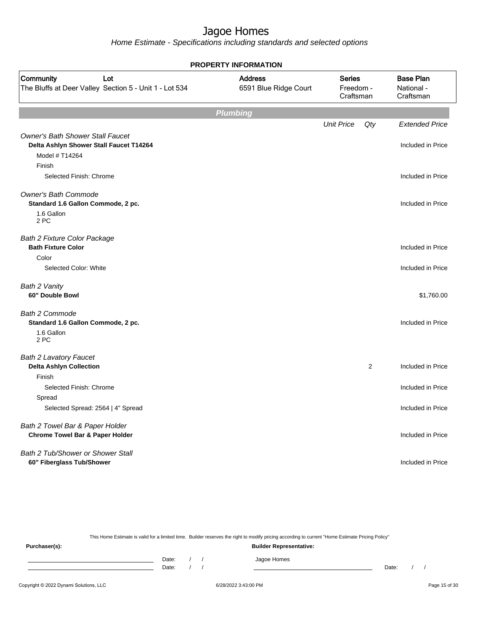Home Estimate - Specifications including standards and selected options

|                                                                                                      | <b>PROPERTY INFORMATION</b>             |                                         |     |                                             |
|------------------------------------------------------------------------------------------------------|-----------------------------------------|-----------------------------------------|-----|---------------------------------------------|
| Community<br>Lot<br>The Bluffs at Deer Valley Section 5 - Unit 1 - Lot 534                           | <b>Address</b><br>6591 Blue Ridge Court | <b>Series</b><br>Freedom -<br>Craftsman |     | <b>Base Plan</b><br>National -<br>Craftsman |
|                                                                                                      | <b>Plumbing</b>                         |                                         |     |                                             |
|                                                                                                      |                                         | <b>Unit Price</b>                       | Qty | <b>Extended Price</b>                       |
| <b>Owner's Bath Shower Stall Faucet</b><br>Delta Ashlyn Shower Stall Faucet T14264<br>Model # T14264 |                                         |                                         |     | Included in Price                           |
| Finish                                                                                               |                                         |                                         |     |                                             |
| Selected Finish: Chrome                                                                              |                                         |                                         |     | Included in Price                           |
| <b>Owner's Bath Commode</b><br>Standard 1.6 Gallon Commode, 2 pc.                                    |                                         |                                         |     | Included in Price                           |
| 1.6 Gallon<br>2 PC                                                                                   |                                         |                                         |     |                                             |
| <b>Bath 2 Fixture Color Package</b><br><b>Bath Fixture Color</b>                                     |                                         |                                         |     | Included in Price                           |
| Color                                                                                                |                                         |                                         |     |                                             |
| Selected Color: White                                                                                |                                         |                                         |     | Included in Price                           |
| Bath 2 Vanity<br>60" Double Bowl                                                                     |                                         |                                         |     | \$1,760.00                                  |
| <b>Bath 2 Commode</b><br>Standard 1.6 Gallon Commode, 2 pc.                                          |                                         |                                         |     | Included in Price                           |
| 1.6 Gallon<br>2 PC                                                                                   |                                         |                                         |     |                                             |
| <b>Bath 2 Lavatory Faucet</b>                                                                        |                                         |                                         |     |                                             |
| <b>Delta Ashlyn Collection</b>                                                                       |                                         |                                         | 2   | Included in Price                           |
| Finish                                                                                               |                                         |                                         |     |                                             |
| Selected Finish: Chrome                                                                              |                                         |                                         |     | Included in Price                           |
| Spread<br>Selected Spread: 2564   4" Spread                                                          |                                         |                                         |     | Included in Price                           |
| Bath 2 Towel Bar & Paper Holder<br><b>Chrome Towel Bar &amp; Paper Holder</b>                        |                                         |                                         |     | Included in Price                           |
| Bath 2 Tub/Shower or Shower Stall<br>60" Fiberglass Tub/Shower                                       |                                         |                                         |     | Included in Price                           |

This Home Estimate is valid for a limited time. Builder reserves the right to modify pricing according to current "Home Estimate Pricing Policy"

**Purchaser(s): Builder Representative:** Date: / / Jagoe Homes<br>Date: / / Jagoe Homes Date: / / **Date: / / 2006** Date: / / / Date: / / /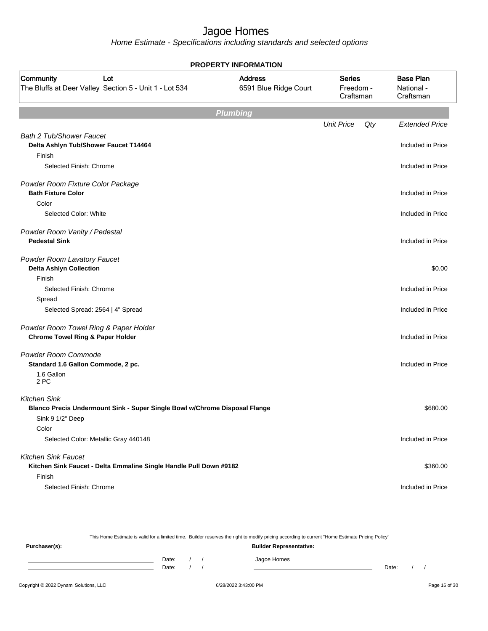|                                                                                                                       | <b>PROPERTY INFORMATION</b>             |                                  |     |                                             |
|-----------------------------------------------------------------------------------------------------------------------|-----------------------------------------|----------------------------------|-----|---------------------------------------------|
| Community<br>Lot<br>The Bluffs at Deer Valley Section 5 - Unit 1 - Lot 534                                            | <b>Address</b><br>6591 Blue Ridge Court | Series<br>Freedom -<br>Craftsman |     | <b>Base Plan</b><br>National -<br>Craftsman |
|                                                                                                                       | <b>Plumbing</b>                         |                                  |     |                                             |
|                                                                                                                       |                                         | <b>Unit Price</b>                | Qty | <b>Extended Price</b>                       |
| <b>Bath 2 Tub/Shower Faucet</b><br>Delta Ashlyn Tub/Shower Faucet T14464<br>Finish                                    |                                         |                                  |     | Included in Price                           |
| Selected Finish: Chrome                                                                                               |                                         |                                  |     | Included in Price                           |
| Powder Room Fixture Color Package<br><b>Bath Fixture Color</b>                                                        |                                         |                                  |     | Included in Price                           |
| Color<br>Selected Color: White                                                                                        |                                         |                                  |     | Included in Price                           |
| Powder Room Vanity / Pedestal<br><b>Pedestal Sink</b>                                                                 |                                         |                                  |     | Included in Price                           |
| Powder Room Lavatory Faucet<br><b>Delta Ashlyn Collection</b><br>Finish                                               |                                         |                                  |     | \$0.00                                      |
| Selected Finish: Chrome                                                                                               |                                         |                                  |     | Included in Price                           |
| Spread                                                                                                                |                                         |                                  |     |                                             |
| Selected Spread: 2564   4" Spread                                                                                     |                                         |                                  |     | Included in Price                           |
| Powder Room Towel Ring & Paper Holder<br><b>Chrome Towel Ring &amp; Paper Holder</b>                                  |                                         |                                  |     | Included in Price                           |
| Powder Room Commode<br>Standard 1.6 Gallon Commode, 2 pc.                                                             |                                         |                                  |     | Included in Price                           |
| 1.6 Gallon<br>2 PC                                                                                                    |                                         |                                  |     |                                             |
| <b>Kitchen Sink</b><br>Blanco Precis Undermount Sink - Super Single Bowl w/Chrome Disposal Flange<br>Sink 9 1/2" Deep |                                         |                                  |     | \$680.00                                    |
| Color                                                                                                                 |                                         |                                  |     |                                             |
| Selected Color: Metallic Gray 440148                                                                                  |                                         |                                  |     | Included in Price                           |
| <b>Kitchen Sink Faucet</b><br>Kitchen Sink Faucet - Delta Emmaline Single Handle Pull Down #9182                      |                                         |                                  |     | \$360.00                                    |
| Finish                                                                                                                |                                         |                                  |     |                                             |
| Selected Finish: Chrome                                                                                               |                                         |                                  |     | Included in Price                           |

|       |  | <b>Builder Representative:</b> |       |                                                                                                                                                  |  |
|-------|--|--------------------------------|-------|--------------------------------------------------------------------------------------------------------------------------------------------------|--|
| Date: |  | Jagoe Homes                    |       |                                                                                                                                                  |  |
| Date: |  |                                | Date: |                                                                                                                                                  |  |
|       |  |                                |       | This Home Estimate is valid for a limited time. Builder reserves the right to modify pricing according to current "Home Estimate Pricing Policy" |  |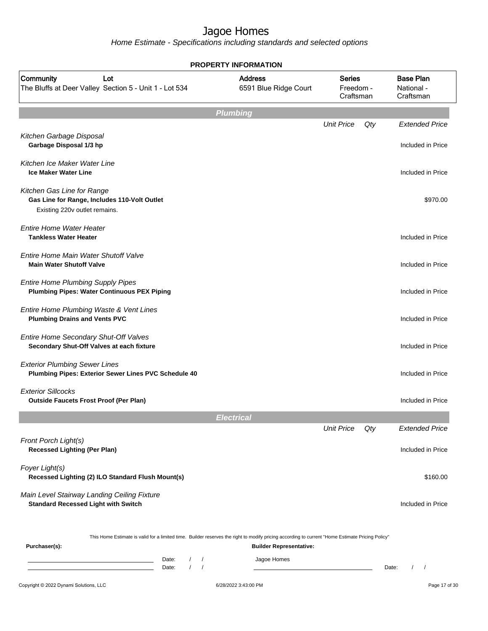|                                                                                                                                         | <b>PROPERTY INFORMATION</b>                                                                                                                                                        |                                         |       |                                             |
|-----------------------------------------------------------------------------------------------------------------------------------------|------------------------------------------------------------------------------------------------------------------------------------------------------------------------------------|-----------------------------------------|-------|---------------------------------------------|
| Community<br>Lot<br>The Bluffs at Deer Valley Section 5 - Unit 1 - Lot 534                                                              | <b>Address</b><br>6591 Blue Ridge Court                                                                                                                                            | <b>Series</b><br>Freedom -<br>Craftsman |       | <b>Base Plan</b><br>National -<br>Craftsman |
|                                                                                                                                         | <b>Plumbing</b>                                                                                                                                                                    |                                         |       |                                             |
| Kitchen Garbage Disposal<br>Garbage Disposal 1/3 hp                                                                                     |                                                                                                                                                                                    | <b>Unit Price</b>                       | Qty   | <b>Extended Price</b><br>Included in Price  |
| Kitchen Ice Maker Water Line<br><b>Ice Maker Water Line</b>                                                                             |                                                                                                                                                                                    |                                         |       | Included in Price                           |
| Kitchen Gas Line for Range<br>Gas Line for Range, Includes 110-Volt Outlet<br>Existing 220v outlet remains.                             |                                                                                                                                                                                    |                                         |       | \$970.00                                    |
| <b>Entire Home Water Heater</b><br><b>Tankless Water Heater</b>                                                                         |                                                                                                                                                                                    |                                         |       | Included in Price                           |
| Entire Home Main Water Shutoff Valve<br><b>Main Water Shutoff Valve</b>                                                                 |                                                                                                                                                                                    |                                         |       | Included in Price                           |
| <b>Entire Home Plumbing Supply Pipes</b><br><b>Plumbing Pipes: Water Continuous PEX Piping</b>                                          |                                                                                                                                                                                    |                                         |       | Included in Price                           |
| Entire Home Plumbing Waste & Vent Lines<br><b>Plumbing Drains and Vents PVC</b>                                                         |                                                                                                                                                                                    |                                         |       | Included in Price                           |
| Entire Home Secondary Shut-Off Valves<br>Secondary Shut-Off Valves at each fixture                                                      |                                                                                                                                                                                    |                                         |       | Included in Price                           |
| <b>Exterior Plumbing Sewer Lines</b><br>Plumbing Pipes: Exterior Sewer Lines PVC Schedule 40                                            |                                                                                                                                                                                    |                                         |       | Included in Price                           |
| <b>Exterior Sillcocks</b><br><b>Outside Faucets Frost Proof (Per Plan)</b>                                                              |                                                                                                                                                                                    |                                         |       | Included in Price                           |
|                                                                                                                                         | Electrica                                                                                                                                                                          |                                         |       |                                             |
| Front Porch Light(s)<br><b>Recessed Lighting (Per Plan)</b>                                                                             |                                                                                                                                                                                    | <b>Unit Price</b>                       | Qty   | <b>Extended Price</b><br>Included in Price  |
| Foyer Light(s)<br>Recessed Lighting (2) ILO Standard Flush Mount(s)                                                                     |                                                                                                                                                                                    |                                         |       | \$160.00                                    |
| Main Level Stairway Landing Ceiling Fixture<br><b>Standard Recessed Light with Switch</b>                                               |                                                                                                                                                                                    |                                         |       | Included in Price                           |
| Purchaser(s):                                                                                                                           | This Home Estimate is valid for a limited time. Builder reserves the right to modify pricing according to current "Home Estimate Pricing Policy"<br><b>Builder Representative:</b> |                                         |       |                                             |
| Date:<br><u> 1989 - Johann Barn, mars ann an t-Aonaich an t-Aonaich ann an t-Aonaich ann an t-Aonaich ann an t-Aonaich an </u><br>Date: | Jagoe Homes<br>$\sqrt{2}$<br>$\overline{1}$<br>$\prime$                                                                                                                            |                                         | Date: |                                             |
| Copyright © 2022 Dynami Solutions, LLC                                                                                                  | 6/28/2022 3:43:00 PM                                                                                                                                                               |                                         |       | Page 17 of 30                               |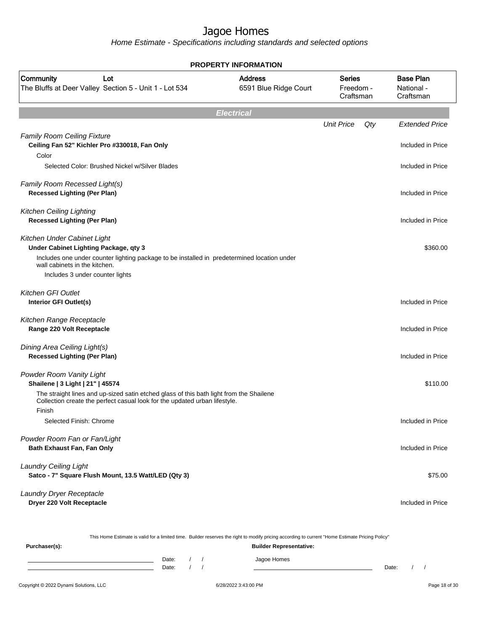|                                                                                                                                                                                 | <b>PROPERTY INFORMATION</b>             |                                         |     |                                             |
|---------------------------------------------------------------------------------------------------------------------------------------------------------------------------------|-----------------------------------------|-----------------------------------------|-----|---------------------------------------------|
| Community<br>Lot<br>The Bluffs at Deer Valley Section 5 - Unit 1 - Lot 534                                                                                                      | <b>Address</b><br>6591 Blue Ridge Court | <b>Series</b><br>Freedom -<br>Craftsman |     | <b>Base Plan</b><br>National -<br>Craftsman |
|                                                                                                                                                                                 | <b>Electrical</b>                       |                                         |     |                                             |
|                                                                                                                                                                                 |                                         | <b>Unit Price</b>                       | Qty | <b>Extended Price</b>                       |
| <b>Family Room Ceiling Fixture</b><br>Ceiling Fan 52" Kichler Pro #330018, Fan Only<br>Color                                                                                    |                                         |                                         |     | Included in Price                           |
| Selected Color: Brushed Nickel w/Silver Blades                                                                                                                                  |                                         |                                         |     | Included in Price                           |
| Family Room Recessed Light(s)<br><b>Recessed Lighting (Per Plan)</b>                                                                                                            |                                         |                                         |     | Included in Price                           |
| <b>Kitchen Ceiling Lighting</b><br><b>Recessed Lighting (Per Plan)</b>                                                                                                          |                                         |                                         |     | Included in Price                           |
| Kitchen Under Cabinet Light<br>Under Cabinet Lighting Package, qty 3                                                                                                            |                                         |                                         |     | \$360.00                                    |
| Includes one under counter lighting package to be installed in predetermined location under<br>wall cabinets in the kitchen.<br>Includes 3 under counter lights                 |                                         |                                         |     |                                             |
| <b>Kitchen GFI Outlet</b><br>Interior GFI Outlet(s)                                                                                                                             |                                         |                                         |     | Included in Price                           |
| Kitchen Range Receptacle<br>Range 220 Volt Receptacle                                                                                                                           |                                         |                                         |     | Included in Price                           |
| Dining Area Ceiling Light(s)<br><b>Recessed Lighting (Per Plan)</b>                                                                                                             |                                         |                                         |     | Included in Price                           |
| Powder Room Vanity Light<br>Shailene   3 Light   21"   45574                                                                                                                    |                                         |                                         |     | \$110.00                                    |
| The straight lines and up-sized satin etched glass of this bath light from the Shailene<br>Collection create the perfect casual look for the updated urban lifestyle.<br>Finish |                                         |                                         |     |                                             |
| Selected Finish: Chrome                                                                                                                                                         |                                         |                                         |     | Included in Price                           |
| Powder Room Fan or Fan/Light                                                                                                                                                    |                                         |                                         |     |                                             |
| <b>Bath Exhaust Fan, Fan Only</b>                                                                                                                                               |                                         |                                         |     | Included in Price                           |
| <b>Laundry Ceiling Light</b><br>Satco - 7" Square Flush Mount, 13.5 Watt/LED (Qty 3)                                                                                            |                                         |                                         |     | \$75.00                                     |
| Laundry Dryer Receptacle<br>Dryer 220 Volt Receptacle                                                                                                                           |                                         |                                         |     | Included in Price                           |

| Purchaser(s): |                |  | . .<br>. .<br><b>Builder Representative:</b> |       |  |
|---------------|----------------|--|----------------------------------------------|-------|--|
|               | Date:<br>Date: |  | Jagoe Homes                                  | Date: |  |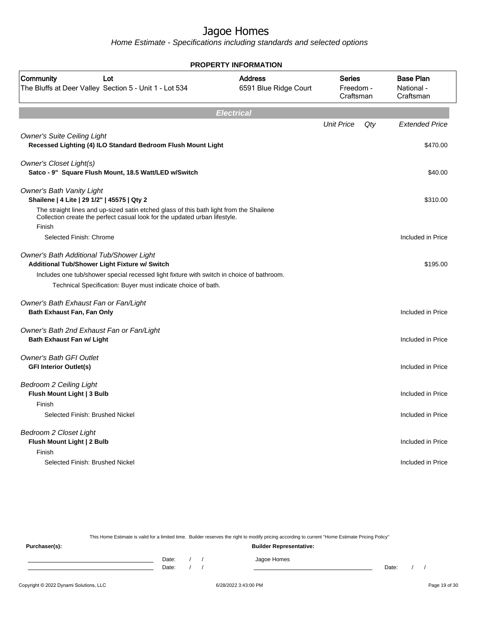Home Estimate - Specifications including standards and selected options

| <b>PROPERTY INFORMATION</b>                                                                                                                                                                                                                            |                                         |                                         |     |                                             |  |  |  |  |  |  |  |  |
|--------------------------------------------------------------------------------------------------------------------------------------------------------------------------------------------------------------------------------------------------------|-----------------------------------------|-----------------------------------------|-----|---------------------------------------------|--|--|--|--|--|--|--|--|
| Community<br>Lot<br>The Bluffs at Deer Valley Section 5 - Unit 1 - Lot 534                                                                                                                                                                             | <b>Address</b><br>6591 Blue Ridge Court | <b>Series</b><br>Freedom -<br>Craftsman |     | <b>Base Plan</b><br>National -<br>Craftsman |  |  |  |  |  |  |  |  |
| <b>Electrical</b>                                                                                                                                                                                                                                      |                                         |                                         |     |                                             |  |  |  |  |  |  |  |  |
|                                                                                                                                                                                                                                                        |                                         | <b>Unit Price</b>                       | Qty | <b>Extended Price</b>                       |  |  |  |  |  |  |  |  |
| <b>Owner's Suite Ceiling Light</b><br>Recessed Lighting (4) ILO Standard Bedroom Flush Mount Light                                                                                                                                                     |                                         |                                         |     | \$470.00                                    |  |  |  |  |  |  |  |  |
| Owner's Closet Light(s)<br>Satco - 9" Square Flush Mount, 18.5 Watt/LED w/Switch                                                                                                                                                                       |                                         |                                         |     | \$40.00                                     |  |  |  |  |  |  |  |  |
| <b>Owner's Bath Vanity Light</b><br>Shailene   4 Lite   29 1/2"   45575   Qty 2                                                                                                                                                                        |                                         |                                         |     | \$310.00                                    |  |  |  |  |  |  |  |  |
| The straight lines and up-sized satin etched glass of this bath light from the Shailene<br>Collection create the perfect casual look for the updated urban lifestyle.<br>Finish                                                                        |                                         |                                         |     |                                             |  |  |  |  |  |  |  |  |
| Selected Finish: Chrome                                                                                                                                                                                                                                |                                         |                                         |     | Included in Price                           |  |  |  |  |  |  |  |  |
| Owner's Bath Additional Tub/Shower Light<br>Additional Tub/Shower Light Fixture w/ Switch<br>Includes one tub/shower special recessed light fixture with switch in choice of bathroom.<br>Technical Specification: Buyer must indicate choice of bath. |                                         |                                         |     | \$195.00                                    |  |  |  |  |  |  |  |  |
| Owner's Bath Exhaust Fan or Fan/Light<br>Bath Exhaust Fan, Fan Only                                                                                                                                                                                    |                                         |                                         |     | Included in Price                           |  |  |  |  |  |  |  |  |
| Owner's Bath 2nd Exhaust Fan or Fan/Light<br><b>Bath Exhaust Fan w/ Light</b>                                                                                                                                                                          |                                         |                                         |     | Included in Price                           |  |  |  |  |  |  |  |  |
| <b>Owner's Bath GFI Outlet</b><br><b>GFI Interior Outlet(s)</b>                                                                                                                                                                                        |                                         |                                         |     | Included in Price                           |  |  |  |  |  |  |  |  |
| <b>Bedroom 2 Ceiling Light</b><br>Flush Mount Light   3 Bulb<br>Finish                                                                                                                                                                                 |                                         |                                         |     | Included in Price                           |  |  |  |  |  |  |  |  |
| Selected Finish: Brushed Nickel                                                                                                                                                                                                                        |                                         |                                         |     | Included in Price                           |  |  |  |  |  |  |  |  |
| Bedroom 2 Closet Light<br>Flush Mount Light   2 Bulb<br>Finish                                                                                                                                                                                         |                                         |                                         |     | Included in Price                           |  |  |  |  |  |  |  |  |
| Selected Finish: Brushed Nickel                                                                                                                                                                                                                        |                                         |                                         |     | Included in Price                           |  |  |  |  |  |  |  |  |

This Home Estimate is valid for a limited time. Builder reserves the right to modify pricing according to current "Home Estimate Pricing Policy"

**Purchaser(s): Builder Representative:** Date: / / Jagoe Homes<br>Date: / / Jagoe Homes Date: / / **Date: / / 2006** Date: / / / Date: / / /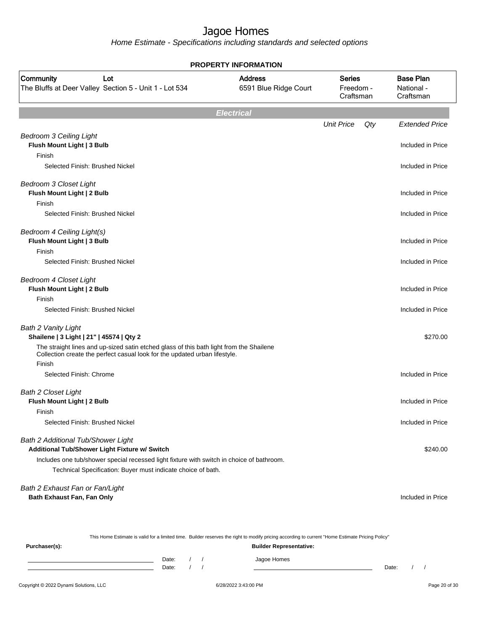| <b>PROPERTY INFORMATION</b>                                                                                                                                                                                                                      |                                         |                                         |     |                                             |  |  |  |  |  |
|--------------------------------------------------------------------------------------------------------------------------------------------------------------------------------------------------------------------------------------------------|-----------------------------------------|-----------------------------------------|-----|---------------------------------------------|--|--|--|--|--|
| Community<br>Lot<br>The Bluffs at Deer Valley Section 5 - Unit 1 - Lot 534                                                                                                                                                                       | <b>Address</b><br>6591 Blue Ridge Court | <b>Series</b><br>Freedom -<br>Craftsman |     | <b>Base Plan</b><br>National -<br>Craftsman |  |  |  |  |  |
|                                                                                                                                                                                                                                                  | <b>Electrical</b>                       |                                         |     |                                             |  |  |  |  |  |
|                                                                                                                                                                                                                                                  |                                         | <b>Unit Price</b>                       | Qty | <b>Extended Price</b>                       |  |  |  |  |  |
| <b>Bedroom 3 Ceiling Light</b><br>Flush Mount Light   3 Bulb<br>Finish                                                                                                                                                                           |                                         |                                         |     | Included in Price                           |  |  |  |  |  |
| Selected Finish: Brushed Nickel                                                                                                                                                                                                                  |                                         |                                         |     | Included in Price                           |  |  |  |  |  |
| <b>Bedroom 3 Closet Light</b><br>Flush Mount Light   2 Bulb                                                                                                                                                                                      |                                         |                                         |     | Included in Price                           |  |  |  |  |  |
| Finish<br>Selected Finish: Brushed Nickel                                                                                                                                                                                                        |                                         |                                         |     | Included in Price                           |  |  |  |  |  |
| Bedroom 4 Ceiling Light(s)<br>Flush Mount Light   3 Bulb                                                                                                                                                                                         |                                         |                                         |     | Included in Price                           |  |  |  |  |  |
| Finish<br>Selected Finish: Brushed Nickel                                                                                                                                                                                                        |                                         |                                         |     | Included in Price                           |  |  |  |  |  |
| <b>Bedroom 4 Closet Light</b><br>Flush Mount Light   2 Bulb                                                                                                                                                                                      |                                         |                                         |     | Included in Price                           |  |  |  |  |  |
| Finish<br>Selected Finish: Brushed Nickel                                                                                                                                                                                                        |                                         |                                         |     | Included in Price                           |  |  |  |  |  |
| Bath 2 Vanity Light<br>Shailene   3 Light   21"   45574   Qty 2                                                                                                                                                                                  |                                         |                                         |     | \$270.00                                    |  |  |  |  |  |
| The straight lines and up-sized satin etched glass of this bath light from the Shailene<br>Collection create the perfect casual look for the updated urban lifestyle.<br>Finish                                                                  |                                         |                                         |     |                                             |  |  |  |  |  |
| Selected Finish: Chrome                                                                                                                                                                                                                          |                                         |                                         |     | Included in Price                           |  |  |  |  |  |
| <b>Bath 2 Closet Light</b><br>Flush Mount Light   2 Bulb                                                                                                                                                                                         |                                         |                                         |     | Included in Price                           |  |  |  |  |  |
| Finish<br>Selected Finish: Brushed Nickel                                                                                                                                                                                                        |                                         |                                         |     | Included in Price                           |  |  |  |  |  |
| Bath 2 Additional Tub/Shower Light<br>Additional Tub/Shower Light Fixture w/ Switch<br>Includes one tub/shower special recessed light fixture with switch in choice of bathroom.<br>Technical Specification: Buyer must indicate choice of bath. |                                         |                                         |     | \$240.00                                    |  |  |  |  |  |
| Bath 2 Exhaust Fan or Fan/Light<br>Bath Exhaust Fan, Fan Only                                                                                                                                                                                    |                                         |                                         |     | Included in Price                           |  |  |  |  |  |

| This Home Estimate is valid for a limited time. Builder reserves the right to modify pricing according to current "Home Estimate Pricing Policy" |                                |       |  |  |             |       |  |  |
|--------------------------------------------------------------------------------------------------------------------------------------------------|--------------------------------|-------|--|--|-------------|-------|--|--|
| Purchaser(s):                                                                                                                                    | <b>Builder Representative:</b> |       |  |  |             |       |  |  |
|                                                                                                                                                  |                                | Date: |  |  | Jagoe Homes |       |  |  |
|                                                                                                                                                  |                                | Date: |  |  |             | Date: |  |  |
|                                                                                                                                                  |                                |       |  |  |             |       |  |  |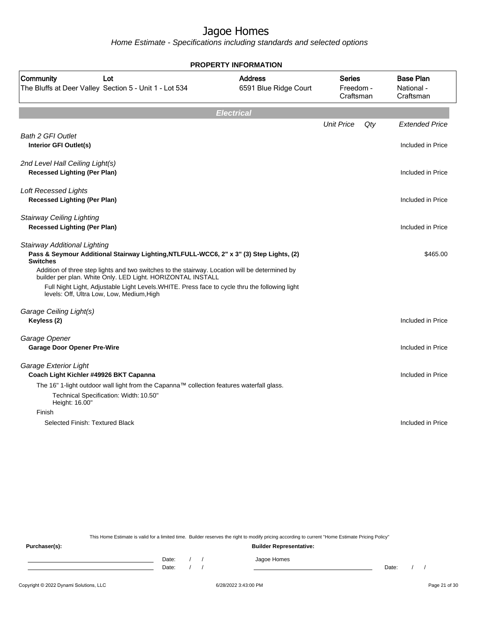Home Estimate - Specifications including standards and selected options

| <b>Address</b><br>6591 Blue Ridge Court<br>Pass & Seymour Additional Stairway Lighting, NTLFULL-WCC6, 2" x 3" (3) Step Lights, (2)                                                               | <b>Series</b><br>Freedom -<br>Craftsman<br><b>Unit Price</b>                              | Qty | <b>Base Plan</b><br>National -<br>Craftsman<br><b>Extended Price</b><br>Included in Price<br>Included in Price<br>Included in Price<br>Included in Price |
|--------------------------------------------------------------------------------------------------------------------------------------------------------------------------------------------------|-------------------------------------------------------------------------------------------|-----|----------------------------------------------------------------------------------------------------------------------------------------------------------|
|                                                                                                                                                                                                  |                                                                                           |     |                                                                                                                                                          |
|                                                                                                                                                                                                  |                                                                                           |     |                                                                                                                                                          |
|                                                                                                                                                                                                  |                                                                                           |     |                                                                                                                                                          |
|                                                                                                                                                                                                  |                                                                                           |     |                                                                                                                                                          |
|                                                                                                                                                                                                  |                                                                                           |     |                                                                                                                                                          |
|                                                                                                                                                                                                  |                                                                                           |     |                                                                                                                                                          |
|                                                                                                                                                                                                  |                                                                                           |     |                                                                                                                                                          |
| Addition of three step lights and two switches to the stairway. Location will be determined by<br>Full Night Light, Adjustable Light Levels. WHITE. Press face to cycle thru the following light |                                                                                           |     | \$465.00                                                                                                                                                 |
|                                                                                                                                                                                                  |                                                                                           |     | Included in Price                                                                                                                                        |
|                                                                                                                                                                                                  |                                                                                           |     | Included in Price                                                                                                                                        |
|                                                                                                                                                                                                  |                                                                                           |     | Included in Price                                                                                                                                        |
|                                                                                                                                                                                                  |                                                                                           |     |                                                                                                                                                          |
|                                                                                                                                                                                                  |                                                                                           |     |                                                                                                                                                          |
|                                                                                                                                                                                                  |                                                                                           |     |                                                                                                                                                          |
|                                                                                                                                                                                                  |                                                                                           |     | Included in Price                                                                                                                                        |
|                                                                                                                                                                                                  | The 16" 1-light outdoor wall light from the Capanna™ collection features waterfall glass. |     |                                                                                                                                                          |

This Home Estimate is valid for a limited time. Builder reserves the right to modify pricing according to current "Home Estimate Pricing Policy"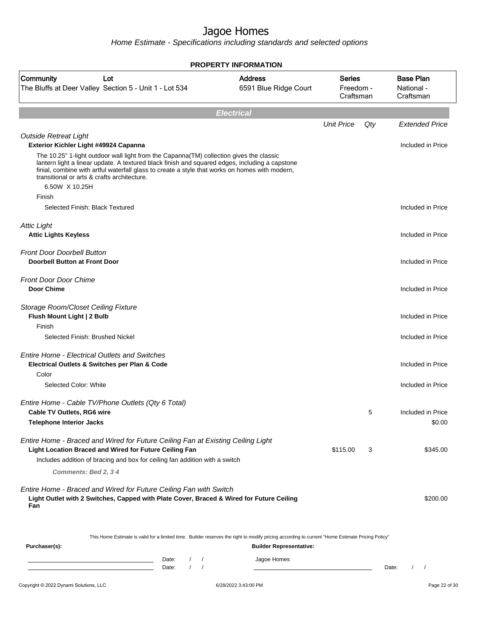| <b>PROPERTY INFORMATION</b>                                                                                                                                                                                                                                        |                                         |                                         |     |                                             |  |  |  |  |  |  |
|--------------------------------------------------------------------------------------------------------------------------------------------------------------------------------------------------------------------------------------------------------------------|-----------------------------------------|-----------------------------------------|-----|---------------------------------------------|--|--|--|--|--|--|
| Community<br>Lot<br>The Bluffs at Deer Valley Section 5 - Unit 1 - Lot 534                                                                                                                                                                                         | <b>Address</b><br>6591 Blue Ridge Court | <b>Series</b><br>Freedom -<br>Craftsman |     | <b>Base Plan</b><br>National -<br>Craftsman |  |  |  |  |  |  |
|                                                                                                                                                                                                                                                                    | <b>Electrical</b>                       |                                         |     |                                             |  |  |  |  |  |  |
|                                                                                                                                                                                                                                                                    |                                         | <b>Unit Price</b>                       | Qty | <b>Extended Price</b>                       |  |  |  |  |  |  |
| <b>Outside Retreat Light</b><br>Exterior Kichler Light #49924 Capanna<br>The 10.25" 1-light outdoor wall light from the Capanna(TM) collection gives the classic<br>lantern light a linear update. A textured black finish and squared edges, including a capstone |                                         |                                         |     | Included in Price                           |  |  |  |  |  |  |
| finial, combine with artful waterfall glass to create a style that works on homes with modern,<br>transitional or arts & crafts architecture.<br>6.50W X 10.25H                                                                                                    |                                         |                                         |     |                                             |  |  |  |  |  |  |
| Finish                                                                                                                                                                                                                                                             |                                         |                                         |     |                                             |  |  |  |  |  |  |
| Selected Finish: Black Textured                                                                                                                                                                                                                                    |                                         |                                         |     | Included in Price                           |  |  |  |  |  |  |
| <b>Attic Light</b>                                                                                                                                                                                                                                                 |                                         |                                         |     |                                             |  |  |  |  |  |  |
| <b>Attic Lights Keyless</b>                                                                                                                                                                                                                                        |                                         |                                         |     | Included in Price                           |  |  |  |  |  |  |
| <b>Front Door Doorbell Button</b>                                                                                                                                                                                                                                  |                                         |                                         |     |                                             |  |  |  |  |  |  |
| <b>Doorbell Button at Front Door</b>                                                                                                                                                                                                                               |                                         |                                         |     | Included in Price                           |  |  |  |  |  |  |
| <b>Front Door Door Chime</b>                                                                                                                                                                                                                                       |                                         |                                         |     |                                             |  |  |  |  |  |  |
| <b>Door Chime</b>                                                                                                                                                                                                                                                  |                                         |                                         |     | Included in Price                           |  |  |  |  |  |  |
| Storage Room/Closet Ceiling Fixture                                                                                                                                                                                                                                |                                         |                                         |     |                                             |  |  |  |  |  |  |
| Flush Mount Light   2 Bulb                                                                                                                                                                                                                                         |                                         |                                         |     | Included in Price                           |  |  |  |  |  |  |
| Finish                                                                                                                                                                                                                                                             |                                         |                                         |     |                                             |  |  |  |  |  |  |
| Selected Finish: Brushed Nickel                                                                                                                                                                                                                                    |                                         |                                         |     | Included in Price                           |  |  |  |  |  |  |
| <b>Entire Home - Electrical Outlets and Switches</b><br>Electrical Outlets & Switches per Plan & Code                                                                                                                                                              |                                         |                                         |     | Included in Price                           |  |  |  |  |  |  |
| Color                                                                                                                                                                                                                                                              |                                         |                                         |     |                                             |  |  |  |  |  |  |
| Selected Color: White                                                                                                                                                                                                                                              |                                         |                                         |     | Included in Price                           |  |  |  |  |  |  |
| Entire Home - Cable TV/Phone Outlets (Qty 6 Total)                                                                                                                                                                                                                 |                                         |                                         |     |                                             |  |  |  |  |  |  |
| <b>Cable TV Outlets, RG6 wire</b>                                                                                                                                                                                                                                  |                                         |                                         | 5   | Included in Price                           |  |  |  |  |  |  |
| <b>Telephone Interior Jacks</b>                                                                                                                                                                                                                                    |                                         |                                         |     | \$0.00                                      |  |  |  |  |  |  |
| Entire Home - Braced and Wired for Future Ceiling Fan at Existing Ceiling Light                                                                                                                                                                                    |                                         |                                         |     |                                             |  |  |  |  |  |  |
| <b>Light Location Braced and Wired for Future Ceiling Fan</b>                                                                                                                                                                                                      |                                         | \$115.00                                | 3   | \$345.00                                    |  |  |  |  |  |  |
| Includes addition of bracing and box for ceiling fan addition with a switch                                                                                                                                                                                        |                                         |                                         |     |                                             |  |  |  |  |  |  |
| Comments: Bed 2, 34                                                                                                                                                                                                                                                |                                         |                                         |     |                                             |  |  |  |  |  |  |
| Entire Home - Braced and Wired for Future Ceiling Fan with Switch<br>Light Outlet with 2 Switches, Capped with Plate Cover, Braced & Wired for Future Ceiling<br>Fan                                                                                               |                                         |                                         |     | \$200.00                                    |  |  |  |  |  |  |
| This Home Estimate is valid for a limited time. Builder reserves the right to modify pricing according to current "Home Estimate Pricing Policy"                                                                                                                   |                                         |                                         |     |                                             |  |  |  |  |  |  |
| Purchaser(s):                                                                                                                                                                                                                                                      | <b>Builder Representative:</b>          |                                         |     |                                             |  |  |  |  |  |  |
| Date:<br>$\prime$<br>Date:                                                                                                                                                                                                                                         | Jagoe Homes                             |                                         |     | Date:<br>$\sqrt{2}$                         |  |  |  |  |  |  |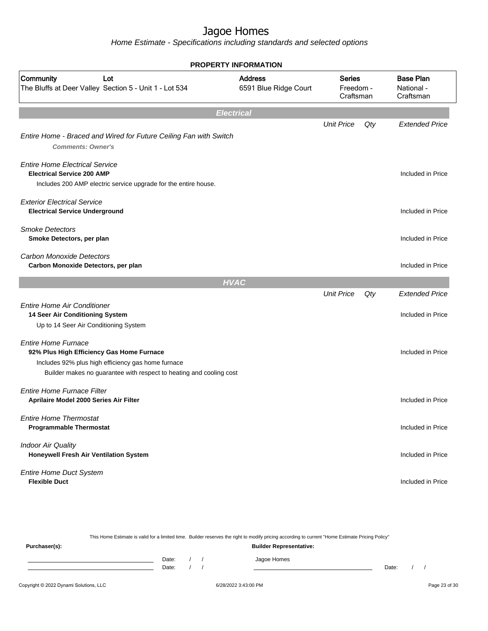| <b>PROPERTY INFORMATION</b>                                                                                                                                                                          |                                         |                                         |     |                                             |  |  |  |  |  |
|------------------------------------------------------------------------------------------------------------------------------------------------------------------------------------------------------|-----------------------------------------|-----------------------------------------|-----|---------------------------------------------|--|--|--|--|--|
| Community<br>Lot<br>The Bluffs at Deer Valley Section 5 - Unit 1 - Lot 534                                                                                                                           | <b>Address</b><br>6591 Blue Ridge Court | <b>Series</b><br>Freedom -<br>Craftsman |     | <b>Base Plan</b><br>National -<br>Craftsman |  |  |  |  |  |
|                                                                                                                                                                                                      | <b>Electrical</b>                       |                                         |     |                                             |  |  |  |  |  |
| Entire Home - Braced and Wired for Future Ceiling Fan with Switch<br><b>Comments: Owner's</b>                                                                                                        |                                         | <b>Unit Price</b>                       | Qty | <b>Extended Price</b>                       |  |  |  |  |  |
| <b>Entire Home Electrical Service</b><br><b>Electrical Service 200 AMP</b><br>Includes 200 AMP electric service upgrade for the entire house.                                                        |                                         |                                         |     | Included in Price                           |  |  |  |  |  |
| <b>Exterior Electrical Service</b><br><b>Electrical Service Underground</b>                                                                                                                          |                                         |                                         |     | Included in Price                           |  |  |  |  |  |
| <b>Smoke Detectors</b><br>Smoke Detectors, per plan                                                                                                                                                  |                                         |                                         |     | Included in Price                           |  |  |  |  |  |
| <b>Carbon Monoxide Detectors</b><br>Carbon Monoxide Detectors, per plan                                                                                                                              |                                         |                                         |     | Included in Price                           |  |  |  |  |  |
|                                                                                                                                                                                                      | <b>HVAC</b>                             |                                         |     |                                             |  |  |  |  |  |
| <b>Entire Home Air Conditioner</b><br>14 Seer Air Conditioning System<br>Up to 14 Seer Air Conditioning System                                                                                       |                                         | <b>Unit Price</b>                       | Qty | <b>Extended Price</b><br>Included in Price  |  |  |  |  |  |
| <b>Entire Home Furnace</b><br>92% Plus High Efficiency Gas Home Furnace<br>Includes 92% plus high efficiency gas home furnace<br>Builder makes no guarantee with respect to heating and cooling cost |                                         |                                         |     | Included in Price                           |  |  |  |  |  |
| Entire Home Furnace Filter<br>Aprilaire Model 2000 Series Air Filter                                                                                                                                 |                                         |                                         |     | Included in Price                           |  |  |  |  |  |
| <b>Entire Home Thermostat</b><br><b>Programmable Thermostat</b>                                                                                                                                      |                                         |                                         |     | Included in Price                           |  |  |  |  |  |
| <b>Indoor Air Quality</b><br>Honeywell Fresh Air Ventilation System                                                                                                                                  |                                         |                                         |     | Included in Price                           |  |  |  |  |  |
| <b>Entire Home Duct System</b><br><b>Flexible Duct</b>                                                                                                                                               |                                         |                                         |     | Included in Price                           |  |  |  |  |  |

| This Home Estimate is valid for a limited time. Builder reserves the right to modify pricing according to current "Home Estimate Pricing Policy" |                                |  |  |             |       |  |  |  |  |
|--------------------------------------------------------------------------------------------------------------------------------------------------|--------------------------------|--|--|-------------|-------|--|--|--|--|
| Purchaser(s):                                                                                                                                    | <b>Builder Representative:</b> |  |  |             |       |  |  |  |  |
|                                                                                                                                                  | Date:                          |  |  | Jagoe Homes |       |  |  |  |  |
|                                                                                                                                                  | Date:                          |  |  |             | Date: |  |  |  |  |
|                                                                                                                                                  |                                |  |  |             |       |  |  |  |  |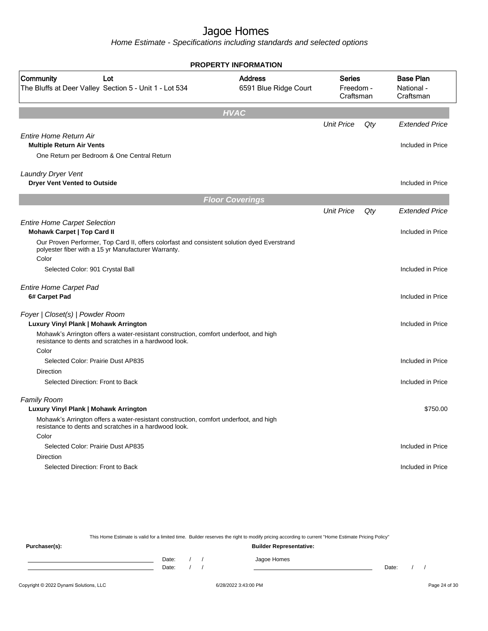Home Estimate - Specifications including standards and selected options

| <b>PROPERTY INFORMATION</b>                                                                                                                        |                                         |                                         |     |                       |  |                                             |  |  |  |
|----------------------------------------------------------------------------------------------------------------------------------------------------|-----------------------------------------|-----------------------------------------|-----|-----------------------|--|---------------------------------------------|--|--|--|
| Community<br>Lot<br>The Bluffs at Deer Valley Section 5 - Unit 1 - Lot 534                                                                         | <b>Address</b><br>6591 Blue Ridge Court | <b>Series</b><br>Freedom -<br>Craftsman |     |                       |  | <b>Base Plan</b><br>National -<br>Craftsman |  |  |  |
|                                                                                                                                                    | <b>HVAC</b>                             |                                         |     |                       |  |                                             |  |  |  |
|                                                                                                                                                    |                                         | <b>Unit Price</b>                       | Qty | <b>Extended Price</b> |  |                                             |  |  |  |
| <b>Entire Home Return Air</b>                                                                                                                      |                                         |                                         |     |                       |  |                                             |  |  |  |
| <b>Multiple Return Air Vents</b>                                                                                                                   |                                         |                                         |     | Included in Price     |  |                                             |  |  |  |
| One Return per Bedroom & One Central Return                                                                                                        |                                         |                                         |     |                       |  |                                             |  |  |  |
| <b>Laundry Dryer Vent</b>                                                                                                                          |                                         |                                         |     |                       |  |                                             |  |  |  |
| <b>Dryer Vent Vented to Outside</b>                                                                                                                |                                         |                                         |     | Included in Price     |  |                                             |  |  |  |
|                                                                                                                                                    | <b>Floor Coverings</b>                  |                                         |     |                       |  |                                             |  |  |  |
|                                                                                                                                                    |                                         | <b>Unit Price</b>                       | Qty | <b>Extended Price</b> |  |                                             |  |  |  |
| <b>Entire Home Carpet Selection</b>                                                                                                                |                                         |                                         |     |                       |  |                                             |  |  |  |
| <b>Mohawk Carpet   Top Card II</b>                                                                                                                 |                                         |                                         |     | Included in Price     |  |                                             |  |  |  |
| Our Proven Performer, Top Card II, offers colorfast and consistent solution dyed Everstrand<br>polyester fiber with a 15 yr Manufacturer Warranty. |                                         |                                         |     |                       |  |                                             |  |  |  |
| Color                                                                                                                                              |                                         |                                         |     |                       |  |                                             |  |  |  |
| Selected Color: 901 Crystal Ball                                                                                                                   |                                         |                                         |     | Included in Price     |  |                                             |  |  |  |
| <b>Entire Home Carpet Pad</b>                                                                                                                      |                                         |                                         |     |                       |  |                                             |  |  |  |
| 6# Carpet Pad                                                                                                                                      |                                         |                                         |     | Included in Price     |  |                                             |  |  |  |
| Foyer   Closet(s)   Powder Room<br>Luxury Vinyl Plank   Mohawk Arrington                                                                           |                                         |                                         |     | Included in Price     |  |                                             |  |  |  |
| Mohawk's Arrington offers a water-resistant construction, comfort underfoot, and high<br>resistance to dents and scratches in a hardwood look.     |                                         |                                         |     |                       |  |                                             |  |  |  |
| Color                                                                                                                                              |                                         |                                         |     |                       |  |                                             |  |  |  |
| Selected Color: Prairie Dust AP835                                                                                                                 |                                         |                                         |     | Included in Price     |  |                                             |  |  |  |
| <b>Direction</b>                                                                                                                                   |                                         |                                         |     |                       |  |                                             |  |  |  |
| Selected Direction: Front to Back                                                                                                                  |                                         |                                         |     | Included in Price     |  |                                             |  |  |  |
| <b>Family Room</b>                                                                                                                                 |                                         |                                         |     |                       |  |                                             |  |  |  |
| Luxury Vinyl Plank   Mohawk Arrington                                                                                                              |                                         |                                         |     | \$750.00              |  |                                             |  |  |  |
| Mohawk's Arrington offers a water-resistant construction, comfort underfoot, and high<br>resistance to dents and scratches in a hardwood look.     |                                         |                                         |     |                       |  |                                             |  |  |  |
| Color                                                                                                                                              |                                         |                                         |     |                       |  |                                             |  |  |  |
| Selected Color: Prairie Dust AP835                                                                                                                 |                                         |                                         |     | Included in Price     |  |                                             |  |  |  |
| <b>Direction</b>                                                                                                                                   |                                         |                                         |     |                       |  |                                             |  |  |  |
| Selected Direction: Front to Back                                                                                                                  |                                         |                                         |     | Included in Price     |  |                                             |  |  |  |
|                                                                                                                                                    |                                         |                                         |     |                       |  |                                             |  |  |  |

This Home Estimate is valid for a limited time. Builder reserves the right to modify pricing according to current "Home Estimate Pricing Policy"

| Purchaser(s): |                |  | <b>Builder Representative:</b> |       |  |
|---------------|----------------|--|--------------------------------|-------|--|
|               | Date:<br>Date: |  | Jagoe Homes                    | Date: |  |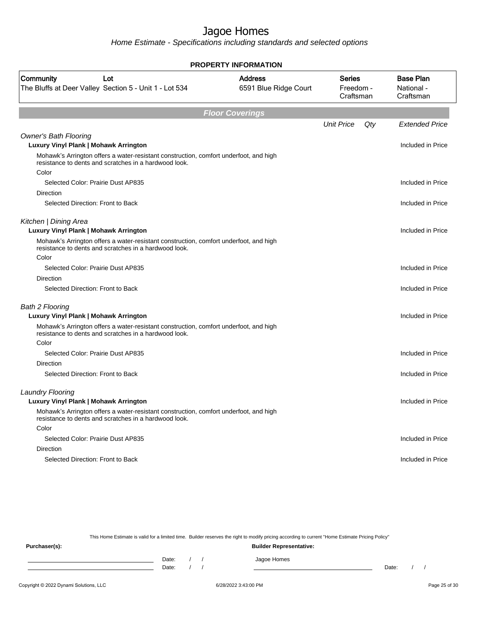Home Estimate - Specifications including standards and selected options

| <b>PROPERTY INFORMATION</b>                                                                                                                    |                                         |                                         |     |                                             |  |  |  |  |
|------------------------------------------------------------------------------------------------------------------------------------------------|-----------------------------------------|-----------------------------------------|-----|---------------------------------------------|--|--|--|--|
| Community<br>Lot<br>The Bluffs at Deer Valley Section 5 - Unit 1 - Lot 534                                                                     | <b>Address</b><br>6591 Blue Ridge Court | <b>Series</b><br>Freedom -<br>Craftsman |     | <b>Base Plan</b><br>National -<br>Craftsman |  |  |  |  |
|                                                                                                                                                | <b>Floor Coverings</b>                  |                                         |     |                                             |  |  |  |  |
|                                                                                                                                                |                                         | <b>Unit Price</b>                       | Qty | <b>Extended Price</b>                       |  |  |  |  |
| <b>Owner's Bath Flooring</b><br>Luxury Vinyl Plank   Mohawk Arrington                                                                          |                                         |                                         |     | Included in Price                           |  |  |  |  |
| Mohawk's Arrington offers a water-resistant construction, comfort underfoot, and high<br>resistance to dents and scratches in a hardwood look. |                                         |                                         |     |                                             |  |  |  |  |
| Color                                                                                                                                          |                                         |                                         |     |                                             |  |  |  |  |
| Selected Color: Prairie Dust AP835                                                                                                             |                                         |                                         |     | Included in Price                           |  |  |  |  |
| Direction                                                                                                                                      |                                         |                                         |     |                                             |  |  |  |  |
| Selected Direction: Front to Back                                                                                                              |                                         |                                         |     | Included in Price                           |  |  |  |  |
| Kitchen   Dining Area<br>Luxury Vinyl Plank   Mohawk Arrington                                                                                 |                                         |                                         |     | Included in Price                           |  |  |  |  |
| Mohawk's Arrington offers a water-resistant construction, comfort underfoot, and high<br>resistance to dents and scratches in a hardwood look. |                                         |                                         |     |                                             |  |  |  |  |
| Color                                                                                                                                          |                                         |                                         |     |                                             |  |  |  |  |
| Selected Color: Prairie Dust AP835                                                                                                             |                                         |                                         |     | Included in Price                           |  |  |  |  |
| Direction                                                                                                                                      |                                         |                                         |     |                                             |  |  |  |  |
| Selected Direction: Front to Back                                                                                                              |                                         |                                         |     | Included in Price                           |  |  |  |  |
| <b>Bath 2 Flooring</b>                                                                                                                         |                                         |                                         |     |                                             |  |  |  |  |
| Luxury Vinyl Plank   Mohawk Arrington                                                                                                          |                                         |                                         |     | Included in Price                           |  |  |  |  |
| Mohawk's Arrington offers a water-resistant construction, comfort underfoot, and high<br>resistance to dents and scratches in a hardwood look. |                                         |                                         |     |                                             |  |  |  |  |
| Color                                                                                                                                          |                                         |                                         |     |                                             |  |  |  |  |
| Selected Color: Prairie Dust AP835                                                                                                             |                                         |                                         |     | Included in Price                           |  |  |  |  |
| Direction                                                                                                                                      |                                         |                                         |     |                                             |  |  |  |  |
| Selected Direction: Front to Back                                                                                                              |                                         |                                         |     | Included in Price                           |  |  |  |  |
| <b>Laundry Flooring</b>                                                                                                                        |                                         |                                         |     |                                             |  |  |  |  |
| Luxury Vinyl Plank   Mohawk Arrington                                                                                                          |                                         |                                         |     | Included in Price                           |  |  |  |  |
| Mohawk's Arrington offers a water-resistant construction, comfort underfoot, and high<br>resistance to dents and scratches in a hardwood look. |                                         |                                         |     |                                             |  |  |  |  |
| Color                                                                                                                                          |                                         |                                         |     |                                             |  |  |  |  |
| Selected Color: Prairie Dust AP835                                                                                                             |                                         |                                         |     | Included in Price                           |  |  |  |  |
| Direction                                                                                                                                      |                                         |                                         |     |                                             |  |  |  |  |
| Selected Direction: Front to Back                                                                                                              |                                         |                                         |     | Included in Price                           |  |  |  |  |
|                                                                                                                                                |                                         |                                         |     |                                             |  |  |  |  |

This Home Estimate is valid for a limited time. Builder reserves the right to modify pricing according to current "Home Estimate Pricing Policy"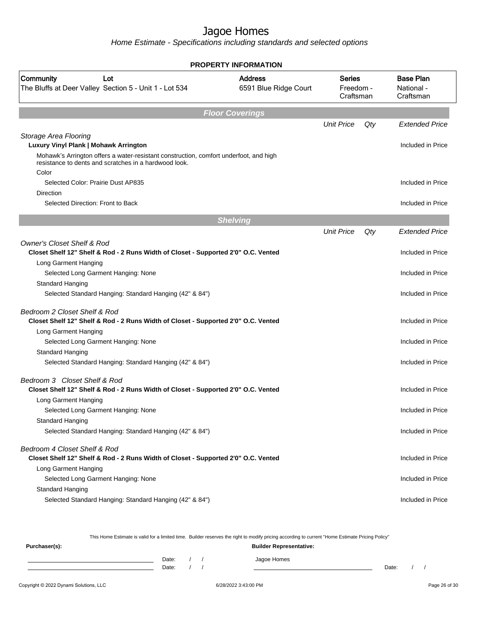Home Estimate - Specifications including standards and selected options

| <b>PROPERTY INFORMATION</b>                                                                                                                             |                                         |                                         |     |                                             |  |  |  |  |  |
|---------------------------------------------------------------------------------------------------------------------------------------------------------|-----------------------------------------|-----------------------------------------|-----|---------------------------------------------|--|--|--|--|--|
| Community<br>Lot<br>The Bluffs at Deer Valley Section 5 - Unit 1 - Lot 534                                                                              | <b>Address</b><br>6591 Blue Ridge Court | <b>Series</b><br>Freedom -<br>Craftsman |     | <b>Base Plan</b><br>National -<br>Craftsman |  |  |  |  |  |
|                                                                                                                                                         | <b>Floor Coverings</b>                  |                                         |     |                                             |  |  |  |  |  |
|                                                                                                                                                         |                                         | <b>Unit Price</b>                       | Qty | <b>Extended Price</b>                       |  |  |  |  |  |
| Storage Area Flooring<br>Luxury Vinyl Plank   Mohawk Arrington<br>Mohawk's Arrington offers a water-resistant construction, comfort underfoot, and high |                                         |                                         |     | Included in Price                           |  |  |  |  |  |
| resistance to dents and scratches in a hardwood look.<br>Color                                                                                          |                                         |                                         |     |                                             |  |  |  |  |  |
| Selected Color: Prairie Dust AP835                                                                                                                      |                                         |                                         |     | Included in Price                           |  |  |  |  |  |
| Direction                                                                                                                                               |                                         |                                         |     |                                             |  |  |  |  |  |
| Selected Direction: Front to Back                                                                                                                       |                                         |                                         |     | Included in Price                           |  |  |  |  |  |
|                                                                                                                                                         | <b>Shelving</b>                         |                                         |     |                                             |  |  |  |  |  |
|                                                                                                                                                         |                                         | <b>Unit Price</b>                       | Qty | <b>Extended Price</b>                       |  |  |  |  |  |
| <b>Owner's Closet Shelf &amp; Rod</b><br>Closet Shelf 12" Shelf & Rod - 2 Runs Width of Closet - Supported 2'0" O.C. Vented                             |                                         |                                         |     | Included in Price                           |  |  |  |  |  |
| Long Garment Hanging<br>Selected Long Garment Hanging: None                                                                                             |                                         |                                         |     | Included in Price                           |  |  |  |  |  |
| Standard Hanging                                                                                                                                        |                                         |                                         |     |                                             |  |  |  |  |  |
| Selected Standard Hanging: Standard Hanging (42" & 84")                                                                                                 |                                         |                                         |     | Included in Price                           |  |  |  |  |  |
| Bedroom 2 Closet Shelf & Rod<br>Closet Shelf 12" Shelf & Rod - 2 Runs Width of Closet - Supported 2'0" O.C. Vented                                      |                                         |                                         |     | Included in Price                           |  |  |  |  |  |
| Long Garment Hanging                                                                                                                                    |                                         |                                         |     |                                             |  |  |  |  |  |
| Selected Long Garment Hanging: None                                                                                                                     |                                         |                                         |     | Included in Price                           |  |  |  |  |  |
| Standard Hanging                                                                                                                                        |                                         |                                         |     |                                             |  |  |  |  |  |
| Selected Standard Hanging: Standard Hanging (42" & 84")                                                                                                 |                                         |                                         |     | Included in Price                           |  |  |  |  |  |
| Bedroom 3 Closet Shelf & Rod<br>Closet Shelf 12" Shelf & Rod - 2 Runs Width of Closet - Supported 2'0" O.C. Vented                                      |                                         |                                         |     | Included in Price                           |  |  |  |  |  |
| Long Garment Hanging<br>Selected Long Garment Hanging: None                                                                                             |                                         |                                         |     | Included in Price                           |  |  |  |  |  |
| Standard Hanging                                                                                                                                        |                                         |                                         |     |                                             |  |  |  |  |  |
| Selected Standard Hanging: Standard Hanging (42" & 84")                                                                                                 |                                         |                                         |     | Included in Price                           |  |  |  |  |  |
| Bedroom 4 Closet Shelf & Rod<br>Closet Shelf 12" Shelf & Rod - 2 Runs Width of Closet - Supported 2'0" O.C. Vented                                      |                                         |                                         |     | Included in Price                           |  |  |  |  |  |
| Long Garment Hanging<br>Selected Long Garment Hanging: None                                                                                             |                                         |                                         |     | Included in Price                           |  |  |  |  |  |
| Standard Hanging                                                                                                                                        |                                         |                                         |     |                                             |  |  |  |  |  |
| Selected Standard Hanging: Standard Hanging (42" & 84")                                                                                                 |                                         |                                         |     | Included in Price                           |  |  |  |  |  |

This Home Estimate is valid for a limited time. Builder reserves the right to modify pricing according to current "Home Estimate Pricing Policy"

**Purchaser(s): Builder Representative:** Date: / / Jagoe Homes<br>Date: / / Jagoe Homes Date: / / **Date: / / 2006** Date: / / / Date: / / /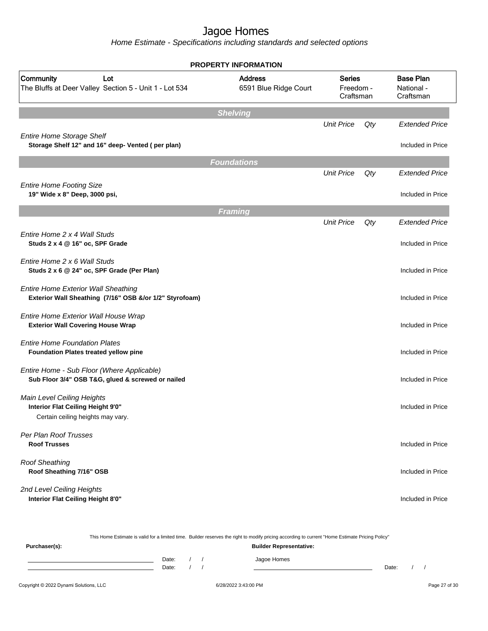Home Estimate - Specifications including standards and selected options

| <b>PROPERTY INFORMATION</b>                                                                           |                                         |                                         |     |                                             |  |
|-------------------------------------------------------------------------------------------------------|-----------------------------------------|-----------------------------------------|-----|---------------------------------------------|--|
| <b>Community</b><br>Lot<br>The Bluffs at Deer Valley Section 5 - Unit 1 - Lot 534                     | <b>Address</b><br>6591 Blue Ridge Court | <b>Series</b><br>Freedom -<br>Craftsman |     | <b>Base Plan</b><br>National -<br>Craftsman |  |
|                                                                                                       | <b>Shelving</b>                         |                                         |     |                                             |  |
| <b>Entire Home Storage Shelf</b>                                                                      |                                         | <b>Unit Price</b>                       | Qty | <b>Extended Price</b>                       |  |
| Storage Shelf 12" and 16" deep- Vented (per plan)                                                     |                                         |                                         |     | Included in Price                           |  |
|                                                                                                       | <b>Foundations</b>                      |                                         |     |                                             |  |
|                                                                                                       |                                         | <b>Unit Price</b>                       | Qty | <b>Extended Price</b>                       |  |
| <b>Entire Home Footing Size</b><br>19" Wide x 8" Deep, 3000 psi,                                      |                                         |                                         |     | Included in Price                           |  |
|                                                                                                       | <b>Framing</b>                          |                                         |     |                                             |  |
|                                                                                                       |                                         | <b>Unit Price</b>                       | Qty | <b>Extended Price</b>                       |  |
| Entire Home 2 x 4 Wall Studs<br>Studs 2 x 4 @ 16" oc, SPF Grade                                       |                                         |                                         |     | Included in Price                           |  |
| Entire Home 2 x 6 Wall Studs<br>Studs 2 x 6 @ 24" oc, SPF Grade (Per Plan)                            |                                         |                                         |     | Included in Price                           |  |
| <b>Entire Home Exterior Wall Sheathing</b><br>Exterior Wall Sheathing (7/16" OSB &/or 1/2" Styrofoam) |                                         |                                         |     | Included in Price                           |  |
| Entire Home Exterior Wall House Wrap<br><b>Exterior Wall Covering House Wrap</b>                      |                                         |                                         |     | Included in Price                           |  |
| <b>Entire Home Foundation Plates</b><br><b>Foundation Plates treated yellow pine</b>                  |                                         |                                         |     | Included in Price                           |  |
| Entire Home - Sub Floor (Where Applicable)<br>Sub Floor 3/4" OSB T&G, glued & screwed or nailed       |                                         |                                         |     | Included in Price                           |  |
| Main Level Ceiling Heights<br>Interior Flat Ceiling Height 9'0"                                       |                                         |                                         |     | Included in Price                           |  |
| Certain ceiling heights may vary.                                                                     |                                         |                                         |     |                                             |  |
| Per Plan Roof Trusses<br><b>Roof Trusses</b>                                                          |                                         |                                         |     | Included in Price                           |  |
| <b>Roof Sheathing</b><br>Roof Sheathing 7/16" OSB                                                     |                                         |                                         |     | Included in Price                           |  |
| 2nd Level Ceiling Heights<br>Interior Flat Ceiling Height 8'0"                                        |                                         |                                         |     | Included in Price                           |  |

This Home Estimate is valid for a limited time. Builder reserves the right to modify pricing according to current "Home Estimate Pricing Policy" **Purchaser(s): Builder Representative:** Date: / / Jagoe Homes<br>Date: / / Jagoe Homes Date: / / Date: / /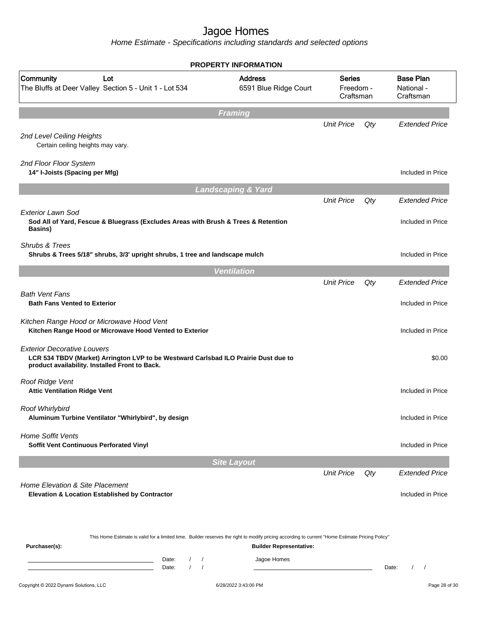Home Estimate - Specifications including standards and selected options

|                                                                                                                                                                                             | <b>PROPERTY INFORMATION</b>                   |                                         |     |                                             |
|---------------------------------------------------------------------------------------------------------------------------------------------------------------------------------------------|-----------------------------------------------|-----------------------------------------|-----|---------------------------------------------|
| Community<br>Lot<br>The Bluffs at Deer Valley Section 5 - Unit 1 - Lot 534                                                                                                                  | <b>Address</b><br>6591 Blue Ridge Court       | <b>Series</b><br>Freedom -<br>Craftsman |     | <b>Base Plan</b><br>National -<br>Craftsman |
|                                                                                                                                                                                             | <b>Framing</b>                                |                                         |     |                                             |
| 2nd Level Ceiling Heights<br>Certain ceiling heights may vary.                                                                                                                              |                                               | <b>Unit Price</b>                       | Qty | <b>Extended Price</b>                       |
| 2nd Floor Floor System<br>14" I-Joists (Spacing per Mfg)                                                                                                                                    |                                               |                                         |     | Included in Price                           |
|                                                                                                                                                                                             | <b>Landscaping &amp; Yard</b>                 |                                         |     |                                             |
|                                                                                                                                                                                             |                                               | <b>Unit Price</b>                       | Qty | <b>Extended Price</b>                       |
| Exterior Lawn Sod<br>Sod All of Yard, Fescue & Bluegrass (Excludes Areas with Brush & Trees & Retention<br>Basins)                                                                          |                                               |                                         |     | Included in Price                           |
| Shrubs & Trees<br>Shrubs & Trees 5/18" shrubs, 3/3' upright shrubs, 1 tree and landscape mulch                                                                                              |                                               |                                         |     | Included in Price                           |
|                                                                                                                                                                                             | <b>Ventilation</b>                            |                                         |     |                                             |
| <b>Bath Vent Fans</b><br><b>Bath Fans Vented to Exterior</b>                                                                                                                                |                                               | <b>Unit Price</b>                       | Qty | <b>Extended Price</b><br>Included in Price  |
| Kitchen Range Hood or Microwave Hood Vent<br>Kitchen Range Hood or Microwave Hood Vented to Exterior                                                                                        |                                               |                                         |     | Included in Price                           |
| <b>Exterior Decorative Louvers</b><br>LCR 534 TBDV (Market) Arrington LVP to be Westward Carlsbad ILO Prairie Dust due to<br>product availability. Installed Front to Back.                 |                                               |                                         |     | \$0.00                                      |
| Roof Ridge Vent<br><b>Attic Ventilation Ridge Vent</b>                                                                                                                                      |                                               |                                         |     | Included in Price                           |
| Roof Whirlybird<br>Aluminum Turbine Ventilator "Whirlybird", by design                                                                                                                      |                                               |                                         |     | Included in Price                           |
| <b>Home Soffit Vents</b><br>Soffit Vent Continuous Perforated Vinyl                                                                                                                         |                                               |                                         |     | Included in Price                           |
|                                                                                                                                                                                             | <b>Site Layout</b>                            |                                         |     |                                             |
| <b>Home Elevation &amp; Site Placement</b><br>Elevation & Location Established by Contractor                                                                                                |                                               | <b>Unit Price</b>                       | Qty | <b>Extended Price</b><br>Included in Price  |
| This Home Estimate is valid for a limited time. Builder reserves the right to modify pricing according to current "Home Estimate Pricing Policy"<br>Purchaser(s):<br>$\frac{1}{2}$<br>Date: | <b>Builder Representative:</b><br>Jagoe Homes |                                         |     |                                             |

Date: / / Date: / /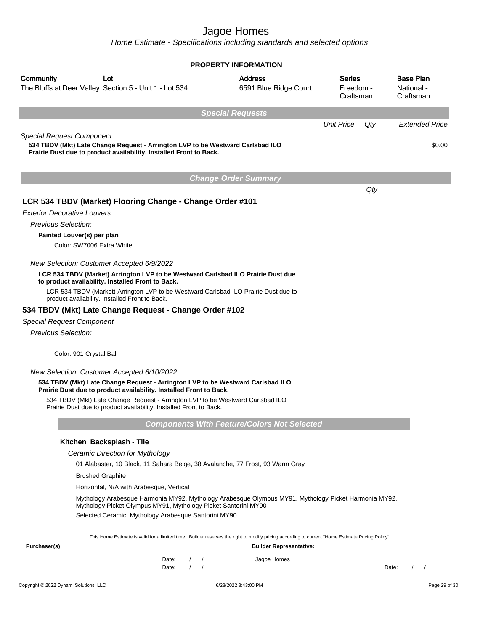|                                                                                                                                                                                          | <b>PROPERTY INFORMATION</b>                        |                                  |                                             |
|------------------------------------------------------------------------------------------------------------------------------------------------------------------------------------------|----------------------------------------------------|----------------------------------|---------------------------------------------|
| Community<br>Lot<br>The Bluffs at Deer Valley Section 5 - Unit 1 - Lot 534                                                                                                               | <b>Address</b><br>6591 Blue Ridge Court            | Series<br>Freedom -<br>Craftsman | <b>Base Plan</b><br>National -<br>Craftsman |
|                                                                                                                                                                                          | <b>Special Requests</b>                            |                                  |                                             |
|                                                                                                                                                                                          |                                                    | <b>Unit Price</b>                | Qty<br><b>Extended Price</b>                |
| <b>Special Request Component</b><br>534 TBDV (Mkt) Late Change Request - Arrington LVP to be Westward Carlsbad ILO<br>Prairie Dust due to product availability. Installed Front to Back. |                                                    |                                  | \$0.00                                      |
|                                                                                                                                                                                          | <b>Change Order Summary</b>                        |                                  |                                             |
|                                                                                                                                                                                          |                                                    |                                  | $Q$ ty                                      |
| LCR 534 TBDV (Market) Flooring Change - Change Order #101                                                                                                                                |                                                    |                                  |                                             |
| <b>Exterior Decorative Louvers</b>                                                                                                                                                       |                                                    |                                  |                                             |
| Previous Selection:                                                                                                                                                                      |                                                    |                                  |                                             |
| Painted Louver(s) per plan                                                                                                                                                               |                                                    |                                  |                                             |
| Color: SW7006 Extra White                                                                                                                                                                |                                                    |                                  |                                             |
| New Selection: Customer Accepted 6/9/2022                                                                                                                                                |                                                    |                                  |                                             |
| LCR 534 TBDV (Market) Arrington LVP to be Westward Carlsbad ILO Prairie Dust due<br>to product availability. Installed Front to Back.                                                    |                                                    |                                  |                                             |
| LCR 534 TBDV (Market) Arrington LVP to be Westward Carlsbad ILO Prairie Dust due to<br>product availability. Installed Front to Back.                                                    |                                                    |                                  |                                             |
| 534 TBDV (Mkt) Late Change Request - Change Order #102                                                                                                                                   |                                                    |                                  |                                             |
| <b>Special Request Component</b>                                                                                                                                                         |                                                    |                                  |                                             |
| Previous Selection:                                                                                                                                                                      |                                                    |                                  |                                             |
| Color: 901 Crystal Ball                                                                                                                                                                  |                                                    |                                  |                                             |
| New Selection: Customer Accepted 6/10/2022                                                                                                                                               |                                                    |                                  |                                             |
| 534 TBDV (Mkt) Late Change Request - Arrington LVP to be Westward Carlsbad ILO<br>Prairie Dust due to product availability. Installed Front to Back.                                     |                                                    |                                  |                                             |
| 534 TBDV (Mkt) Late Change Request - Arrington LVP to be Westward Carlsbad ILO<br>Prairie Dust due to product availability. Installed Front to Back.                                     |                                                    |                                  |                                             |
|                                                                                                                                                                                          | <b>Components With Feature/Colors Not Selected</b> |                                  |                                             |
| Kitchen Backsplash - Tile                                                                                                                                                                |                                                    |                                  |                                             |
| Ceramic Direction for Mythology                                                                                                                                                          |                                                    |                                  |                                             |
| 01 Alabaster, 10 Black, 11 Sahara Beige, 38 Avalanche, 77 Frost, 93 Warm Gray                                                                                                            |                                                    |                                  |                                             |
| <b>Brushed Graphite</b>                                                                                                                                                                  |                                                    |                                  |                                             |
| Horizontal, N/A with Arabesque, Vertical                                                                                                                                                 |                                                    |                                  |                                             |
| Mythology Arabesque Harmonia MY92, Mythology Arabesque Olympus MY91, Mythology Picket Harmonia MY92,<br>Mythology Picket Olympus MY91, Mythology Picket Santorini MY90                   |                                                    |                                  |                                             |
| Selected Ceramic: Mythology Arabesque Santorini MY90                                                                                                                                     |                                                    |                                  |                                             |
| This Home Estimate is valid for a limited time. Builder reserves the right to modify pricing according to current "Home Estimate Pricing Policy"                                         |                                                    |                                  |                                             |
| Purchaser(s):                                                                                                                                                                            | <b>Builder Representative:</b>                     |                                  |                                             |
| Date:<br>Date:                                                                                                                                                                           | Jagoe Homes                                        |                                  | Date:<br>$\prime$<br>$\sqrt{2}$             |